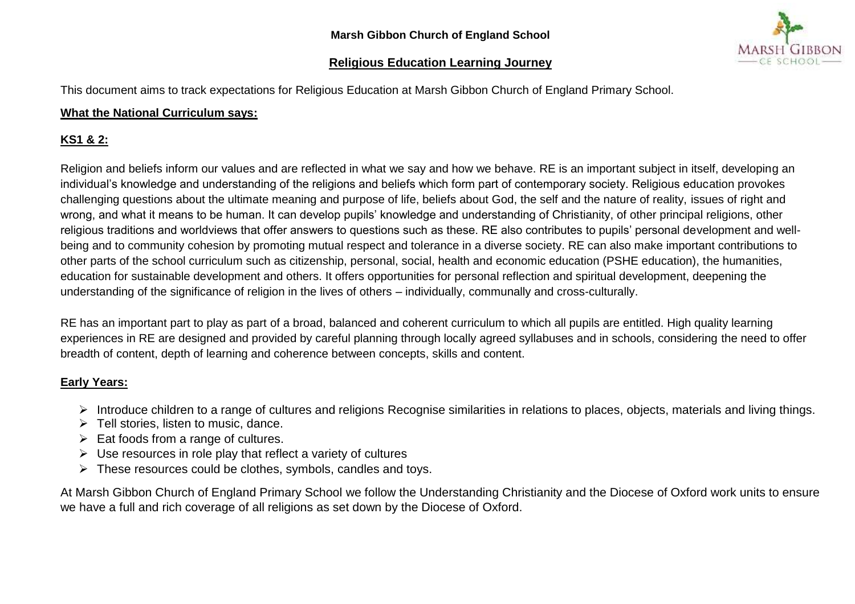## **Religious Education Learning Journey**

This document aims to track expectations for Religious Education at Marsh Gibbon Church of England Primary School.

## **What the National Curriculum says:**

## **KS1 & 2:**

Religion and beliefs inform our values and are reflected in what we say and how we behave. RE is an important subject in itself, developing an individual's knowledge and understanding of the religions and beliefs which form part of contemporary society. Religious education provokes challenging questions about the ultimate meaning and purpose of life, beliefs about God, the self and the nature of reality, issues of right and wrong, and what it means to be human. It can develop pupils' knowledge and understanding of Christianity, of other principal religions, other religious traditions and worldviews that offer answers to questions such as these. RE also contributes to pupils' personal development and wellbeing and to community cohesion by promoting mutual respect and tolerance in a diverse society. RE can also make important contributions to other parts of the school curriculum such as citizenship, personal, social, health and economic education (PSHE education), the humanities, education for sustainable development and others. It offers opportunities for personal reflection and spiritual development, deepening the understanding of the significance of religion in the lives of others – individually, communally and cross-culturally.

RE has an important part to play as part of a broad, balanced and coherent curriculum to which all pupils are entitled. High quality learning experiences in RE are designed and provided by careful planning through locally agreed syllabuses and in schools, considering the need to offer breadth of content, depth of learning and coherence between concepts, skills and content.

## **Early Years:**

- Introduce children to a range of cultures and religions Recognise similarities in relations to places, objects, materials and living things.
- $\triangleright$  Tell stories, listen to music, dance.
- $\triangleright$  Eat foods from a range of cultures.
- $\triangleright$  Use resources in role play that reflect a variety of cultures
- $\triangleright$  These resources could be clothes, symbols, candles and toys.

At Marsh Gibbon Church of England Primary School we follow the Understanding Christianity and the Diocese of Oxford work units to ensure we have a full and rich coverage of all religions as set down by the Diocese of Oxford.

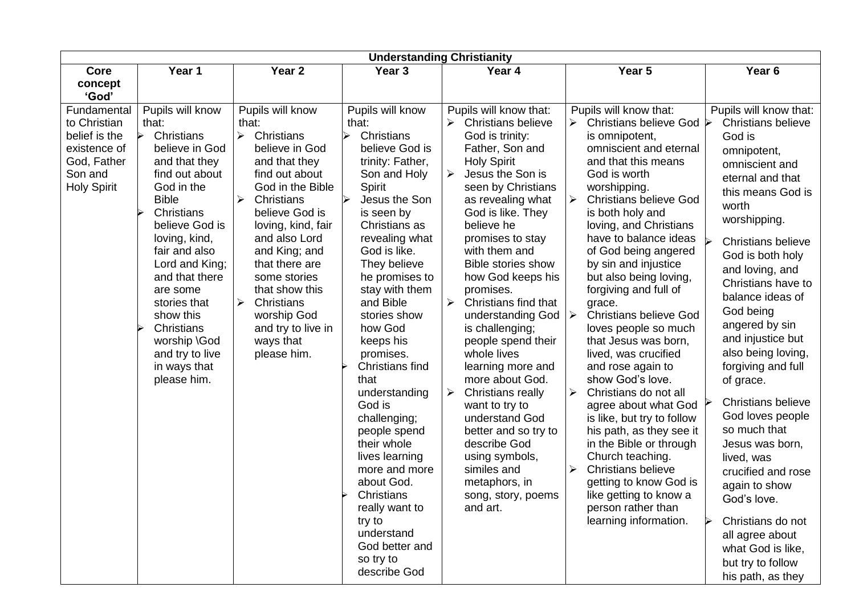|                      |                                 |                                     | <b>Understanding Christianity</b>   |                                                 |                                                          |                               |
|----------------------|---------------------------------|-------------------------------------|-------------------------------------|-------------------------------------------------|----------------------------------------------------------|-------------------------------|
| Core                 | Year 1                          | Year <sub>2</sub>                   | Year <sub>3</sub>                   | Year 4                                          | Year 5                                                   | Year <sub>6</sub>             |
| concept              |                                 |                                     |                                     |                                                 |                                                          |                               |
| 'God'<br>Fundamental | Pupils will know                | Pupils will know                    | Pupils will know                    | Pupils will know that:                          | Pupils will know that:                                   | Pupils will know that:        |
| to Christian         | that:                           | that:                               | that:                               | <b>Christians believe</b><br>➤                  | <b>Christians believe God</b><br>➤                       | <b>Christians believe</b>     |
| belief is the        | Christians                      | $\blacktriangleright$<br>Christians | $\blacktriangleright$<br>Christians | God is trinity:                                 | is omnipotent,                                           | God is                        |
| existence of         | believe in God                  | believe in God                      | believe God is                      | Father, Son and                                 | omniscient and eternal                                   | omnipotent,                   |
| God, Father          | and that they                   | and that they                       | trinity: Father,                    | <b>Holy Spirit</b>                              | and that this means                                      | omniscient and                |
| Son and              | find out about<br>God in the    | find out about<br>God in the Bible  | Son and Holy                        | Jesus the Son is<br>➤                           | God is worth                                             | eternal and that              |
| <b>Holy Spirit</b>   | <b>Bible</b>                    | Christians<br>≻                     | Spirit<br>Jesus the Son<br>↘        | seen by Christians<br>as revealing what         | worshipping.<br><b>Christians believe God</b><br>➤       | this means God is             |
|                      | Christians                      | believe God is                      | is seen by                          | God is like. They                               | is both holy and                                         | worth                         |
|                      | believe God is                  | loving, kind, fair                  | Christians as                       | believe he                                      | loving, and Christians                                   | worshipping.                  |
|                      | loving, kind,                   | and also Lord                       | revealing what                      | promises to stay                                | have to balance ideas                                    | <b>Christians believe</b>     |
|                      | fair and also<br>Lord and King; | and King; and<br>that there are     | God is like.<br>They believe        | with them and<br><b>Bible stories show</b>      | of God being angered<br>by sin and injustice             | God is both holy              |
|                      | and that there                  | some stories                        | he promises to                      | how God keeps his                               | but also being loving,                                   | and loving, and               |
|                      | are some                        | that show this                      | stay with them                      | promises.                                       | forgiving and full of                                    | Christians have to            |
|                      | stories that                    | $\blacktriangleright$<br>Christians | and Bible                           | Christians find that                            | grace.                                                   | balance ideas of<br>God being |
|                      | show this<br>Christians         | worship God                         | stories show<br>how God             | understanding God                               | $\blacktriangleright$<br><b>Christians believe God</b>   | angered by sin                |
|                      | worship \God                    | and try to live in<br>ways that     | keeps his                           | is challenging;<br>people spend their           | loves people so much<br>that Jesus was born,             | and injustice but             |
|                      | and try to live                 | please him.                         | promises.                           | whole lives                                     | lived, was crucified                                     | also being loving,            |
|                      | in ways that                    |                                     | <b>Christians find</b>              | learning more and                               | and rose again to                                        | forgiving and full            |
|                      | please him.                     |                                     | that                                | more about God.                                 | show God's love.                                         | of grace.                     |
|                      |                                 |                                     | understanding<br>God is             | <b>Christians really</b><br>➤<br>want to try to | Christians do not all<br>≻<br>agree about what God       | <b>Christians believe</b>     |
|                      |                                 |                                     | challenging;                        | understand God                                  | is like, but try to follow                               | God loves people              |
|                      |                                 |                                     | people spend                        | better and so try to                            | his path, as they see it                                 | so much that                  |
|                      |                                 |                                     | their whole                         | describe God                                    | in the Bible or through                                  | Jesus was born,               |
|                      |                                 |                                     | lives learning                      | using symbols,                                  | Church teaching.                                         | lived, was                    |
|                      |                                 |                                     | more and more<br>about God.         | similes and<br>metaphors, in                    | <b>Christians believe</b><br>➤<br>getting to know God is | crucified and rose            |
|                      |                                 |                                     | Christians                          | song, story, poems                              | like getting to know a                                   | again to show<br>God's love.  |
|                      |                                 |                                     | really want to                      | and art.                                        | person rather than                                       |                               |
|                      |                                 |                                     | try to                              |                                                 | learning information.                                    | Christians do not             |
|                      |                                 |                                     | understand                          |                                                 |                                                          | all agree about               |
|                      |                                 |                                     | God better and<br>so try to         |                                                 |                                                          | what God is like,             |
|                      |                                 |                                     | describe God                        |                                                 |                                                          | but try to follow             |
|                      |                                 |                                     |                                     |                                                 |                                                          | his path, as they             |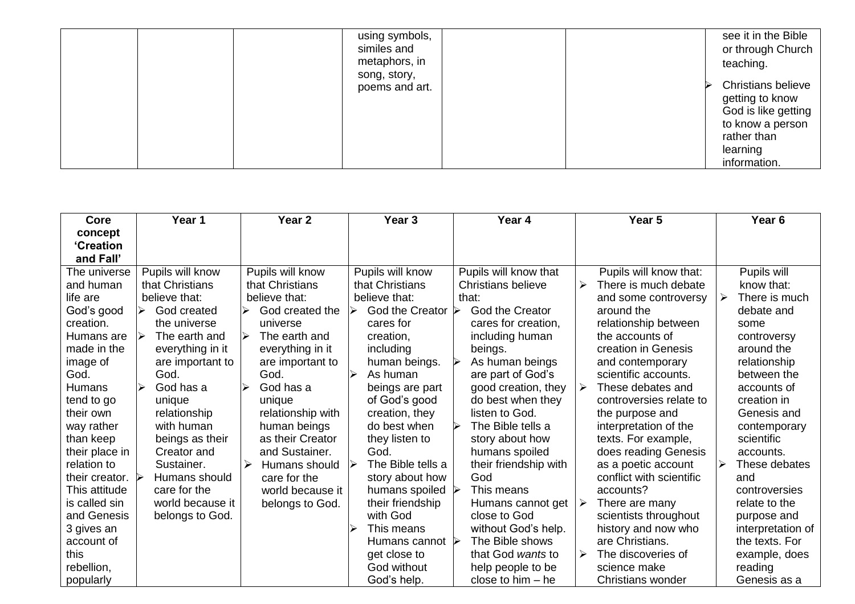|  | using symbols,<br>similes and |  | see it in the Bible<br>or through Church |
|--|-------------------------------|--|------------------------------------------|
|  | metaphors, in                 |  | teaching.                                |
|  | song, story,                  |  | <b>Christians believe</b>                |
|  | poems and art.                |  | getting to know                          |
|  |                               |  | God is like getting<br>to know a person  |
|  |                               |  | rather than                              |
|  |                               |  | learning                                 |
|  |                               |  | information.                             |

| Core             | Year 1           | Year <sub>2</sub>                      | Year <sub>3</sub>                | Year 4                    | Year 5                    | Year 6             |
|------------------|------------------|----------------------------------------|----------------------------------|---------------------------|---------------------------|--------------------|
| concept          |                  |                                        |                                  |                           |                           |                    |
| <b>'Creation</b> |                  |                                        |                                  |                           |                           |                    |
| and Fall'        |                  |                                        |                                  |                           |                           |                    |
| The universe     | Pupils will know | Pupils will know                       | Pupils will know                 | Pupils will know that     | Pupils will know that:    | Pupils will        |
| and human        | that Christians  | that Christians                        | that Christians                  | <b>Christians believe</b> | There is much debate<br>↘ | know that:         |
| life are         | believe that:    | believe that:                          | believe that:                    | that:                     | and some controversy      | There is much<br>➤ |
| God's good       | God created      | God created the<br>↘                   | God the Creator $\triangleright$ | <b>God the Creator</b>    | around the                | debate and         |
| creation.        | the universe     | universe                               | cares for                        | cares for creation,       | relationship between      | some               |
| Humans are       | The earth and    | $\blacktriangleright$<br>The earth and | creation,                        | including human           | the accounts of           | controversy        |
| made in the      | everything in it | everything in it                       | including                        | beings.                   | creation in Genesis       | around the         |
| image of         | are important to | are important to                       | human beings.                    | As human beings           | and contemporary          | relationship       |
| God.             | God.             | God.                                   | As human                         | are part of God's         | scientific accounts.      | between the        |
| Humans           | God has a        | God has a                              | beings are part                  | good creation, they       | These debates and<br>⋗    | accounts of        |
| tend to go       | unique           | unique                                 | of God's good                    | do best when they         | controversies relate to   | creation in        |
| their own        | relationship     | relationship with                      | creation, they                   | listen to God.            | the purpose and           | Genesis and        |
| way rather       | with human       | human beings                           | do best when                     | The Bible tells a         | interpretation of the     | contemporary       |
| than keep        | beings as their  | as their Creator                       | they listen to                   | story about how           | texts. For example,       | scientific         |
| their place in   | Creator and      | and Sustainer.                         | God.                             | humans spoiled            | does reading Genesis      | accounts.          |
| relation to      | Sustainer.       | $\blacktriangleright$<br>Humans should | The Bible tells a                | their friendship with     | as a poetic account       | These debates      |
| their creator.   | Humans should    | care for the                           | story about how                  | God                       | conflict with scientific  | and                |
| This attitude    | care for the     | world because it                       | humans spoiled                   | This means                | accounts?                 | controversies      |
| is called sin    | world because it | belongs to God.                        | their friendship                 | Humans cannot get         | ≻<br>There are many       | relate to the      |
| and Genesis      | belongs to God.  |                                        | with God                         | close to God              | scientists throughout     | purpose and        |
| 3 gives an       |                  |                                        | This means                       | without God's help.       | history and now who       | interpretation of  |
| account of       |                  |                                        | Humans cannot $\triangleright$   | The Bible shows           | are Christians.           | the texts. For     |
| this             |                  |                                        | get close to                     | that God wants to         | The discoveries of<br>➤   | example, does      |
| rebellion,       |                  |                                        | God without                      | help people to be         | science make              | reading            |
| popularly        |                  |                                        | God's help.                      | close to $him - he$       | <b>Christians wonder</b>  | Genesis as a       |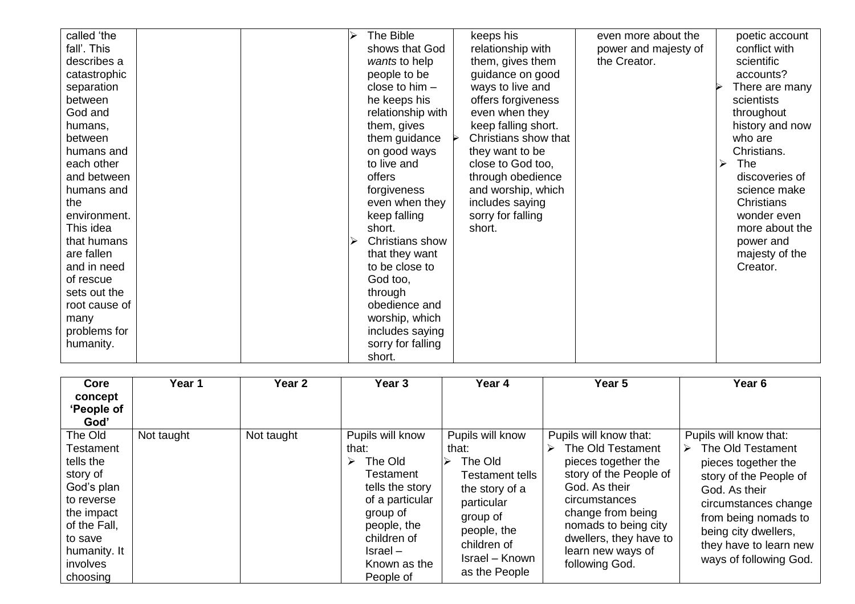| called 'the   |  | The Bible         | keeps his            | even more about the  |   | poetic account  |
|---------------|--|-------------------|----------------------|----------------------|---|-----------------|
| fall'. This   |  | shows that God    | relationship with    | power and majesty of |   | conflict with   |
| describes a   |  | wants to help     | them, gives them     | the Creator.         |   | scientific      |
| catastrophic  |  | people to be      | guidance on good     |                      |   | accounts?       |
| separation    |  | close to $him -$  | ways to live and     |                      |   | There are many  |
| between       |  | he keeps his      | offers forgiveness   |                      |   | scientists      |
| God and       |  | relationship with | even when they       |                      |   | throughout      |
| humans,       |  | them, gives       | keep falling short.  |                      |   | history and now |
| between       |  | them guidance     | Christians show that |                      |   | who are         |
| humans and    |  | on good ways      | they want to be      |                      |   | Christians.     |
| each other    |  | to live and       | close to God too,    |                      | ⋗ | <b>The</b>      |
| and between   |  | offers            | through obedience    |                      |   | discoveries of  |
| humans and    |  | forgiveness       | and worship, which   |                      |   | science make    |
| the           |  | even when they    | includes saying      |                      |   | Christians      |
| environment.  |  | keep falling      | sorry for falling    |                      |   | wonder even     |
| This idea     |  | short.            | short.               |                      |   | more about the  |
| that humans   |  | Christians show   |                      |                      |   | power and       |
| are fallen    |  | that they want    |                      |                      |   | majesty of the  |
| and in need   |  | to be close to    |                      |                      |   | Creator.        |
| of rescue     |  | God too,          |                      |                      |   |                 |
| sets out the  |  | through           |                      |                      |   |                 |
| root cause of |  | obedience and     |                      |                      |   |                 |
| many          |  | worship, which    |                      |                      |   |                 |
| problems for  |  | includes saying   |                      |                      |   |                 |
| humanity.     |  | sorry for falling |                      |                      |   |                 |
|               |  | short.            |                      |                      |   |                 |

| Core             | Year 1     | Year <sub>2</sub> | Year <sub>3</sub>          | Year 4                 | Year 5                 | Year <sub>6</sub>      |
|------------------|------------|-------------------|----------------------------|------------------------|------------------------|------------------------|
| concept          |            |                   |                            |                        |                        |                        |
| 'People of       |            |                   |                            |                        |                        |                        |
| God'             |            |                   |                            |                        |                        |                        |
| The Old          | Not taught | Not taught        | Pupils will know           | Pupils will know       | Pupils will know that: | Pupils will know that: |
| <b>Testament</b> |            |                   | that:                      | that:                  | The Old Testament<br>↘ | The Old Testament<br>⋗ |
| tells the        |            |                   | The Old                    | The Old<br>⋗           | pieces together the    | pieces together the    |
| story of         |            |                   | Testament                  | <b>Testament tells</b> | story of the People of | story of the People of |
| God's plan       |            |                   | tells the story            | the story of a         | God. As their          | God. As their          |
| to reverse       |            |                   | of a particular            | particular             | circumstances          | circumstances change   |
| the impact       |            |                   | group of                   | group of               | change from being      | from being nomads to   |
| of the Fall,     |            |                   | people, the                | people, the            | nomads to being city   | being city dwellers,   |
| to save          |            |                   | children of                | children of            | dwellers, they have to |                        |
| humanity. It     |            |                   | $\textsf{Israel} \text{-}$ |                        | learn new ways of      | they have to learn new |
| involves         |            |                   | Known as the               | <b>Israel</b> – Known  | following God.         | ways of following God. |
| choosing         |            |                   | People of                  | as the People          |                        |                        |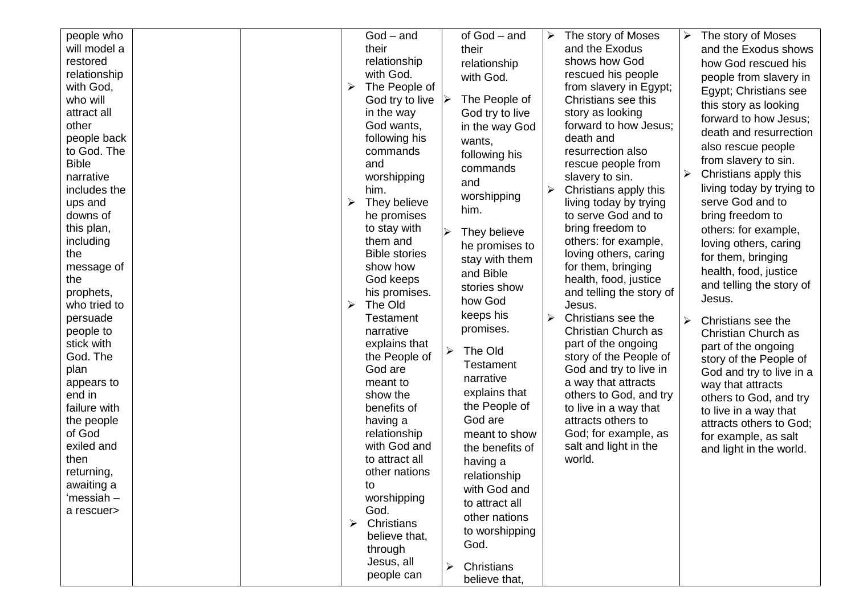| people who   |  |   | $God - and$          |                       | of God – and     | ➤ | The story of Moses       | The story of Moses        |
|--------------|--|---|----------------------|-----------------------|------------------|---|--------------------------|---------------------------|
| will model a |  |   | their                |                       | their            |   | and the Exodus           | and the Exodus shows      |
| restored     |  |   | relationship         |                       | relationship     |   | shows how God            | how God rescued his       |
| relationship |  |   | with God.            |                       | with God.        |   | rescued his people       | people from slavery in    |
| with God,    |  | ➤ | The People of        |                       |                  |   | from slavery in Egypt;   | Egypt; Christians see     |
| who will     |  |   | God try to live      |                       | The People of    |   | Christians see this      | this story as looking     |
| attract all  |  |   | in the way           |                       | God try to live  |   | story as looking         | forward to how Jesus;     |
| other        |  |   | God wants,           |                       | in the way God   |   | forward to how Jesus;    |                           |
| people back  |  |   | following his        |                       | wants,           |   | death and                | death and resurrection    |
| to God. The  |  |   | commands             |                       | following his    |   | resurrection also        | also rescue people        |
| <b>Bible</b> |  |   | and                  |                       | commands         |   | rescue people from       | from slavery to sin.      |
| narrative    |  |   | worshipping          |                       | and              |   | slavery to sin.          | Christians apply this     |
| includes the |  |   | him.                 |                       |                  | ➤ | Christians apply this    | living today by trying to |
| ups and      |  | ➤ | They believe         |                       | worshipping      |   | living today by trying   | serve God and to          |
| downs of     |  |   | he promises          |                       | him.             |   | to serve God and to      | bring freedom to          |
| this plan,   |  |   | to stay with         |                       | They believe     |   | bring freedom to         | others: for example,      |
| including    |  |   | them and             |                       | he promises to   |   | others: for example,     | loving others, caring     |
| the          |  |   | <b>Bible stories</b> |                       | stay with them   |   | loving others, caring    | for them, bringing        |
| message of   |  |   | show how             |                       | and Bible        |   | for them, bringing       | health, food, justice     |
| the          |  |   | God keeps            |                       |                  |   | health, food, justice    | and telling the story of  |
| prophets,    |  |   | his promises.        |                       | stories show     |   | and telling the story of | Jesus.                    |
| who tried to |  | ➤ | The Old              |                       | how God          |   | Jesus.                   |                           |
| persuade     |  |   | <b>Testament</b>     |                       | keeps his        | ➤ | Christians see the       | Christians see the        |
| people to    |  |   | narrative            |                       | promises.        |   | Christian Church as      | Christian Church as       |
| stick with   |  |   | explains that        | $\blacktriangleright$ | The Old          |   | part of the ongoing      | part of the ongoing       |
| God. The     |  |   | the People of        |                       |                  |   | story of the People of   | story of the People of    |
| plan         |  |   | God are              |                       | <b>Testament</b> |   | God and try to live in   | God and try to live in a  |
| appears to   |  |   | meant to             |                       | narrative        |   | a way that attracts      | way that attracts         |
| end in       |  |   | show the             |                       | explains that    |   | others to God, and try   | others to God, and try    |
| failure with |  |   | benefits of          |                       | the People of    |   | to live in a way that    | to live in a way that     |
| the people   |  |   | having a             |                       | God are          |   | attracts others to       | attracts others to God:   |
| of God       |  |   | relationship         |                       | meant to show    |   | God; for example, as     | for example, as salt      |
| exiled and   |  |   | with God and         |                       | the benefits of  |   | salt and light in the    | and light in the world.   |
| then         |  |   | to attract all       |                       | having a         |   | world.                   |                           |
| returning,   |  |   | other nations        |                       | relationship     |   |                          |                           |
| awaiting a   |  |   | to                   |                       | with God and     |   |                          |                           |
| 'messiah –   |  |   | worshipping          |                       | to attract all   |   |                          |                           |
| a rescuer>   |  |   | God.                 |                       | other nations    |   |                          |                           |
|              |  | ≻ | Christians           |                       | to worshipping   |   |                          |                           |
|              |  |   | believe that,        |                       | God.             |   |                          |                           |
|              |  |   | through              |                       |                  |   |                          |                           |
|              |  |   | Jesus, all           | ➤                     | Christians       |   |                          |                           |
|              |  |   | people can           |                       | believe that,    |   |                          |                           |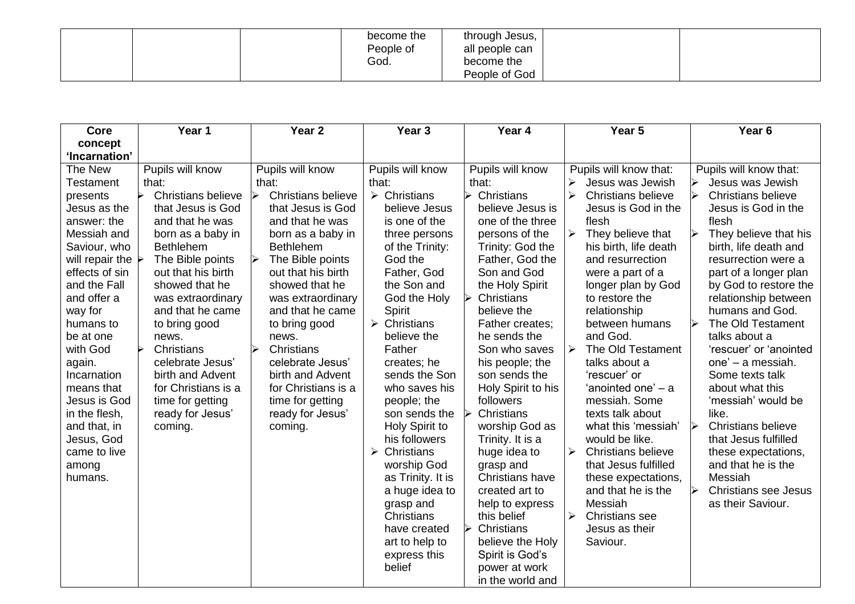|  | become the<br>People of<br>God. | through Jesus,<br>all people can<br>become the |  |
|--|---------------------------------|------------------------------------------------|--|
|  |                                 | People of God                                  |  |

| Core                             | Year 1              | Year <sub>2</sub>                                  | Year <sub>3</sub>           | Year 4                           | Year 5                                      | Year <sub>6</sub>                             |
|----------------------------------|---------------------|----------------------------------------------------|-----------------------------|----------------------------------|---------------------------------------------|-----------------------------------------------|
| concept                          |                     |                                                    |                             |                                  |                                             |                                               |
| 'Incarnation'                    |                     |                                                    |                             |                                  |                                             |                                               |
| The New                          | Pupils will know    | Pupils will know                                   | Pupils will know            | Pupils will know                 | Pupils will know that:                      | Pupils will know that:                        |
| <b>Testament</b>                 | that:               | that:                                              | that:                       | that:                            | $\blacktriangleright$<br>Jesus was Jewish   | Jesus was Jewish                              |
| presents                         | Christians believe  | <b>Christians believe</b><br>$\blacktriangleright$ | $\triangleright$ Christians | Christians                       | $\blacktriangleright$<br>Christians believe | <b>Christians believe</b>                     |
| Jesus as the                     | that Jesus is God   | that Jesus is God                                  | believe Jesus               | believe Jesus is                 | Jesus is God in the                         | Jesus is God in the                           |
| answer: the                      | and that he was     | and that he was                                    | is one of the               | one of the three                 | flesh                                       | flesh                                         |
| Messiah and                      | born as a baby in   | born as a baby in                                  | three persons               | persons of the                   | They believe that<br>$\blacktriangleright$  | They believe that his<br>➤                    |
| Saviour, who                     | <b>Bethlehem</b>    | <b>Bethlehem</b>                                   | of the Trinity:             | Trinity: God the                 | his birth, life death                       | birth, life death and                         |
| will repair the $\triangleright$ | The Bible points    | The Bible points                                   | God the                     | Father, God the                  | and resurrection                            | resurrection were a                           |
| effects of sin                   | out that his birth  | out that his birth                                 | Father, God                 | Son and God                      | were a part of a                            | part of a longer plan                         |
| and the Fall                     | showed that he      | showed that he                                     | the Son and                 | the Holy Spirit                  | longer plan by God                          | by God to restore the                         |
| and offer a                      | was extraordinary   | was extraordinary                                  | God the Holy                | Christians                       | to restore the                              | relationship between                          |
| way for                          | and that he came    | and that he came                                   | Spirit                      | believe the                      | relationship                                | humans and God.                               |
| humans to                        | to bring good       | to bring good                                      | $\triangleright$ Christians | Father creates:                  | between humans                              | The Old Testament<br>↘                        |
| be at one                        | news.               | news.                                              | believe the                 | he sends the                     | and God.                                    | talks about a                                 |
| with God                         | Christians          | Christians<br>$\blacktriangleright$                | Father                      | Son who saves                    | The Old Testament<br>$\blacktriangleright$  | 'rescuer' or 'anointed                        |
| again.                           | celebrate Jesus'    | celebrate Jesus'                                   | creates; he                 | his people; the                  | talks about a                               | one' - a messiah.                             |
| Incarnation                      | birth and Advent    | birth and Advent                                   | sends the Son               | son sends the                    | 'rescuer' or                                | Some texts talk                               |
| means that                       | for Christians is a | for Christians is a                                | who saves his               | Holy Spirit to his               | 'anointed one' - a                          | about what this                               |
| Jesus is God                     | time for getting    | time for getting                                   | people; the                 | followers                        | messiah. Some                               | 'messiah' would be                            |
| in the flesh,                    | ready for Jesus'    | ready for Jesus'                                   | son sends the               | Christians                       | texts talk about                            | like.                                         |
| and that, in                     | coming.             | coming.                                            | Holy Spirit to              | worship God as                   | what this 'messiah'                         | <b>Christians believe</b><br>$\blacktriangle$ |
| Jesus, God                       |                     |                                                    | his followers               | Trinity. It is a                 | would be like.                              | that Jesus fulfilled                          |
| came to live                     |                     |                                                    | Christians<br>➤             | huge idea to                     | $\blacktriangleright$<br>Christians believe | these expectations,                           |
| among                            |                     |                                                    | worship God                 | grasp and                        | that Jesus fulfilled                        | and that he is the                            |
| humans.                          |                     |                                                    | as Trinity. It is           | Christians have                  | these expectations,                         | Messiah                                       |
|                                  |                     |                                                    | a huge idea to              | created art to                   | and that he is the                          | <b>Christians see Jesus</b><br>↘              |
|                                  |                     |                                                    | grasp and                   | help to express                  | Messiah<br>$\blacktriangleright$            | as their Saviour.                             |
|                                  |                     |                                                    | Christians<br>have created  | this belief<br>Christians        | <b>Christians</b> see<br>Jesus as their     |                                               |
|                                  |                     |                                                    |                             |                                  | Saviour.                                    |                                               |
|                                  |                     |                                                    | art to help to              | believe the Holy                 |                                             |                                               |
|                                  |                     |                                                    | express this<br>belief      | Spirit is God's<br>power at work |                                             |                                               |
|                                  |                     |                                                    |                             | in the world and                 |                                             |                                               |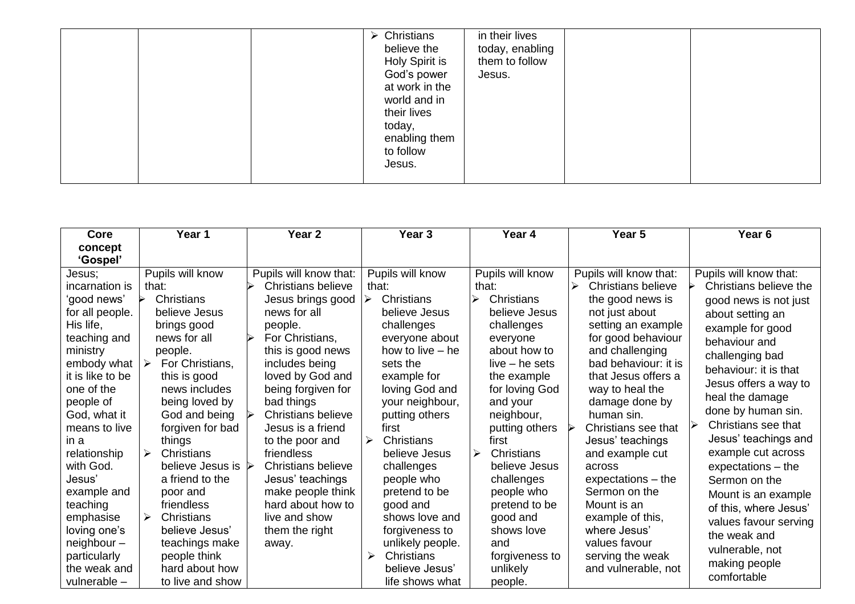|  | $\triangleright$ Christians<br>believe the<br>Holy Spirit is<br>God's power<br>at work in the<br>world and in<br>their lives<br>today,<br>enabling them<br>to follow<br>Jesus. | in their lives<br>today, enabling<br>them to follow<br>Jesus. |  |  |
|--|--------------------------------------------------------------------------------------------------------------------------------------------------------------------------------|---------------------------------------------------------------|--|--|
|--|--------------------------------------------------------------------------------------------------------------------------------------------------------------------------------|---------------------------------------------------------------|--|--|

| <b>Core</b>                                                                                                                                                                                                                                                                                                                                                           | Year 1                                                                                                                                                                                                                                                                                                                                                                                                                     | Year <sub>2</sub>                                                                                                                                                                                                                                                                                                                                                                                                                        | Year <sub>3</sub>                                                                                                                                                                                                                                                                                                                                                                                        | Year 4                                                                                                                                                                                                                                                                                                                                                                                | Year 5                                                                                                                                                                                                                                                                                                                                                                                                                                                                                   | Year <sub>6</sub>                                                                                                                                                                                                                                                                                                                                                                                                                                                                           |
|-----------------------------------------------------------------------------------------------------------------------------------------------------------------------------------------------------------------------------------------------------------------------------------------------------------------------------------------------------------------------|----------------------------------------------------------------------------------------------------------------------------------------------------------------------------------------------------------------------------------------------------------------------------------------------------------------------------------------------------------------------------------------------------------------------------|------------------------------------------------------------------------------------------------------------------------------------------------------------------------------------------------------------------------------------------------------------------------------------------------------------------------------------------------------------------------------------------------------------------------------------------|----------------------------------------------------------------------------------------------------------------------------------------------------------------------------------------------------------------------------------------------------------------------------------------------------------------------------------------------------------------------------------------------------------|---------------------------------------------------------------------------------------------------------------------------------------------------------------------------------------------------------------------------------------------------------------------------------------------------------------------------------------------------------------------------------------|------------------------------------------------------------------------------------------------------------------------------------------------------------------------------------------------------------------------------------------------------------------------------------------------------------------------------------------------------------------------------------------------------------------------------------------------------------------------------------------|---------------------------------------------------------------------------------------------------------------------------------------------------------------------------------------------------------------------------------------------------------------------------------------------------------------------------------------------------------------------------------------------------------------------------------------------------------------------------------------------|
| concept                                                                                                                                                                                                                                                                                                                                                               |                                                                                                                                                                                                                                                                                                                                                                                                                            |                                                                                                                                                                                                                                                                                                                                                                                                                                          |                                                                                                                                                                                                                                                                                                                                                                                                          |                                                                                                                                                                                                                                                                                                                                                                                       |                                                                                                                                                                                                                                                                                                                                                                                                                                                                                          |                                                                                                                                                                                                                                                                                                                                                                                                                                                                                             |
| 'Gospel'<br>Jesus;<br>incarnation is<br>'good news'<br>for all people.<br>His life,<br>teaching and<br>ministry<br>embody what<br>it is like to be<br>one of the<br>people of<br>God, what it<br>means to live<br>in a<br>relationship<br>with God.<br>Jesus'<br>example and<br>teaching<br>emphasise<br>loving one's<br>$neighbor -$<br>particularly<br>the weak and | Pupils will know<br>that:<br>Christians<br>believe Jesus<br>brings good<br>news for all<br>people.<br>For Christians,<br>➤<br>this is good<br>news includes<br>being loved by<br>God and being<br>forgiven for bad<br>things<br>Christians<br>↘<br>believe Jesus is $\triangleright$<br>a friend to the<br>poor and<br>friendless<br>Christians<br>➤<br>believe Jesus'<br>teachings make<br>people think<br>hard about how | Pupils will know that:<br>Christians believe<br>Jesus brings good<br>news for all<br>people.<br>For Christians,<br>this is good news<br>includes being<br>loved by God and<br>being forgiven for<br>bad things<br><b>Christians believe</b><br>Jesus is a friend<br>to the poor and<br>friendless<br><b>Christians believe</b><br>Jesus' teachings<br>make people think<br>hard about how to<br>live and show<br>them the right<br>away. | Pupils will know<br>that:<br>Christians<br>➤<br>believe Jesus<br>challenges<br>everyone about<br>how to live $-$ he<br>sets the<br>example for<br>loving God and<br>your neighbour,<br>putting others<br>first<br>Christians<br>➤<br>believe Jesus<br>challenges<br>people who<br>pretend to be<br>good and<br>shows love and<br>forgiveness to<br>unlikely people.<br>Christians<br>➤<br>believe Jesus' | Pupils will know<br>that:<br>Christians<br>≻<br>believe Jesus<br>challenges<br>everyone<br>about how to<br>$live - he sets$<br>the example<br>for loving God<br>and your<br>neighbour,<br>putting others<br>first<br>$\blacktriangleright$<br>Christians<br>believe Jesus<br>challenges<br>people who<br>pretend to be<br>good and<br>shows love<br>and<br>forgiveness to<br>unlikely | Pupils will know that:<br>Christians believe<br>➤<br>the good news is<br>not just about<br>setting an example<br>for good behaviour<br>and challenging<br>bad behaviour: it is<br>that Jesus offers a<br>way to heal the<br>damage done by<br>human sin.<br>Christians see that<br>Jesus' teachings<br>and example cut<br>across<br>$expectations - the$<br>Sermon on the<br>Mount is an<br>example of this,<br>where Jesus'<br>values favour<br>serving the weak<br>and vulnerable, not | Pupils will know that:<br>Christians believe the<br>good news is not just<br>about setting an<br>example for good<br>behaviour and<br>challenging bad<br>behaviour: it is that<br>Jesus offers a way to<br>heal the damage<br>done by human sin.<br>Christians see that<br>Jesus' teachings and<br>example cut across<br>$expectations - the$<br>Sermon on the<br>Mount is an example<br>of this, where Jesus'<br>values favour serving<br>the weak and<br>vulnerable, not<br>making people |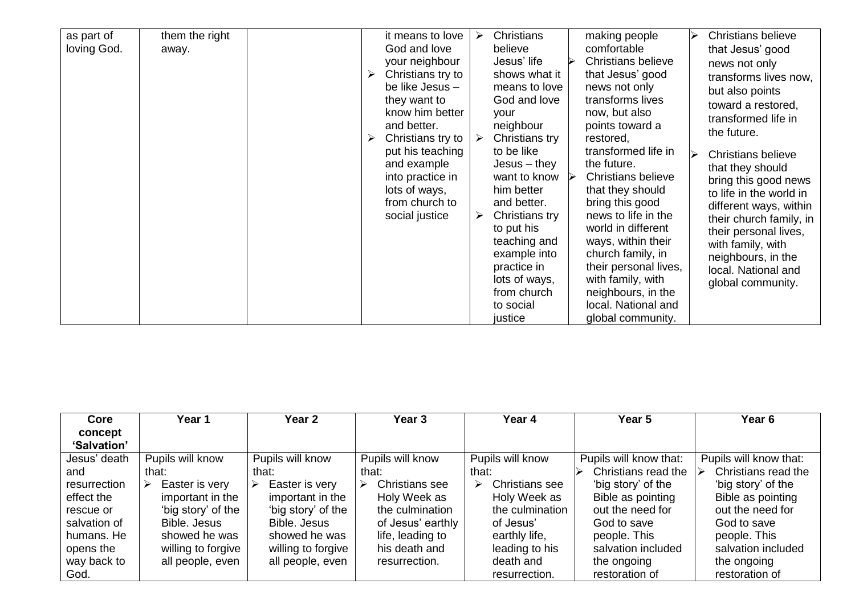| as part of  | them the right |   | it means to love  | ➤ | <b>Christians</b> |               | making people             | ⋗ | <b>Christians believe</b> |
|-------------|----------------|---|-------------------|---|-------------------|---------------|---------------------------|---|---------------------------|
| loving God. | away.          |   | God and love      |   | believe           |               | comfortable               |   | that Jesus' good          |
|             |                |   | your neighbour    |   | Jesus' life       |               | <b>Christians believe</b> |   | news not only             |
|             |                | ➤ | Christians try to |   | shows what it     |               | that Jesus' good          |   | transforms lives now,     |
|             |                |   | be like Jesus -   |   | means to love     |               | news not only             |   |                           |
|             |                |   | they want to      |   | God and love      |               | transforms lives          |   | but also points           |
|             |                |   | know him better   |   | your              |               | now, but also             |   | toward a restored,        |
|             |                |   | and better.       |   | neighbour         |               | points toward a           |   | transformed life in       |
|             |                |   | Christians try to |   | Christians try    |               | restored,                 |   | the future.               |
|             |                |   | put his teaching  |   | to be like        |               | transformed life in       |   |                           |
|             |                |   | and example       |   | $Jesus - they$    |               | the future.               | ↘ | <b>Christians believe</b> |
|             |                |   | into practice in  |   | want to know      | $\rightarrow$ | <b>Christians believe</b> |   | that they should          |
|             |                |   | lots of ways,     |   | him better        |               | that they should          |   | bring this good news      |
|             |                |   | from church to    |   | and better.       |               | bring this good           |   | to life in the world in   |
|             |                |   | social justice    | ➤ | Christians try    |               | news to life in the       |   | different ways, within    |
|             |                |   |                   |   | to put his        |               | world in different        |   | their church family, in   |
|             |                |   |                   |   | teaching and      |               | ways, within their        |   | their personal lives,     |
|             |                |   |                   |   |                   |               |                           |   | with family, with         |
|             |                |   |                   |   | example into      |               | church family, in         |   | neighbours, in the        |
|             |                |   |                   |   | practice in       |               | their personal lives,     |   | local. National and       |
|             |                |   |                   |   | lots of ways,     |               | with family, with         |   | global community.         |
|             |                |   |                   |   | from church       |               | neighbours, in the        |   |                           |
|             |                |   |                   |   | to social         |               | local. National and       |   |                           |
|             |                |   |                   |   | justice           |               | global community.         |   |                           |

| Core         | Year 1              | Year 2             | Year <sub>3</sub>   | Year 4                     | Year <sub>5</sub>      | Year <sub>6</sub>      |
|--------------|---------------------|--------------------|---------------------|----------------------------|------------------------|------------------------|
| concept      |                     |                    |                     |                            |                        |                        |
| 'Salvation'  |                     |                    |                     |                            |                        |                        |
| Jesus' death | Pupils will know    | Pupils will know   | Pupils will know    | Pupils will know           | Pupils will know that: | Pupils will know that: |
| and          | that:               | that:              | that:               | that:                      | Christians read the    | Christians read the    |
| resurrection | Easter is very<br>➤ | Easter is very     | Christians see<br>➤ | <b>Christians</b> see<br>➤ | 'big story' of the     | 'big story' of the     |
| effect the   | important in the    | important in the   | Holy Week as        | Holy Week as               | Bible as pointing      | Bible as pointing      |
| rescue or    | 'big story' of the  | 'big story' of the | the culmination     | the culmination            | out the need for       | out the need for       |
| salvation of | Bible, Jesus        | Bible. Jesus       | of Jesus' earthly   | of Jesus'                  | God to save            | God to save            |
| humans. He   | showed he was       | showed he was      | life, leading to    | earthly life,              | people. This           | people. This           |
| opens the    | willing to forgive  | willing to forgive | his death and       | leading to his             | salvation included     | salvation included     |
| way back to  | all people, even    | all people, even   | resurrection.       | death and                  | the ongoing            | the ongoing            |
| God.         |                     |                    |                     | resurrection.              | restoration of         | restoration of         |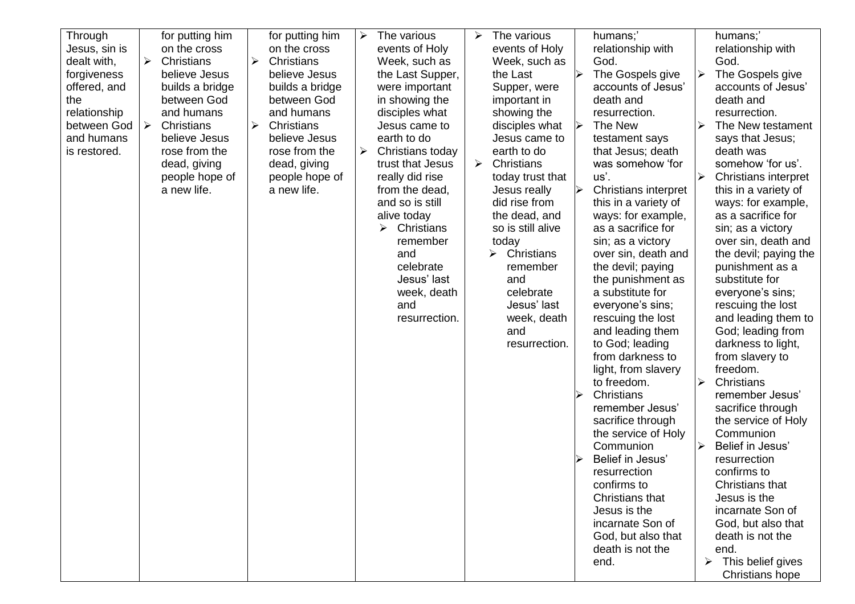| Through<br>Jesus, sin is<br>dealt with,<br>forgiveness<br>offered, and<br>the<br>relationship<br>between God   ≻<br>and humans<br>is restored. | for putting him<br>on the cross<br>$\blacktriangleright$<br>Christians<br>➤<br>believe Jesus<br>builds a bridge<br>between God<br>and humans<br>Christians<br>➤<br>believe Jesus<br>rose from the<br>dead, giving<br>people hope of<br>a new life. | for putting him<br>on the cross<br>Christians<br>believe Jesus<br>builds a bridge<br>between God<br>and humans<br>Christians<br>believe Jesus<br>rose from the<br>dead, giving<br>people hope of<br>a new life. | The various<br>➤<br>events of Holy<br>Week, such as<br>the Last Supper,<br>were important<br>in showing the<br>disciples what<br>Jesus came to<br>earth to do<br>Christians today<br>➤<br>trust that Jesus<br>really did rise<br>from the dead,<br>and so is still<br>alive today<br>➤<br>Christians<br>remember<br>and<br>celebrate<br>Jesus' last<br>week, death<br>and<br>resurrection. | The various<br>➤<br>events of Holy<br>Week, such as<br>the Last<br>Supper, were<br>important in<br>showing the<br>disciples what<br>Jesus came to<br>earth to do<br>Christians<br>➤<br>today trust that<br>Jesus really<br>did rise from<br>the dead, and<br>so is still alive<br>today<br>$\triangleright$ Christians<br>remember<br>and<br>celebrate<br>Jesus' last<br>week, death<br>and<br>resurrection. | humans;'<br>relationship with<br>God.<br>The Gospels give<br>↘<br>accounts of Jesus'<br>death and<br>resurrection.<br>The New<br>➤<br>testament says<br>that Jesus; death<br>was somehow 'for<br>us'.<br><b>Christians interpret</b><br>➤<br>this in a variety of<br>ways: for example,<br>as a sacrifice for<br>sin; as a victory<br>over sin, death and<br>the devil; paying<br>the punishment as<br>a substitute for<br>everyone's sins;<br>rescuing the lost<br>and leading them<br>to God; leading<br>from darkness to<br>light, from slavery<br>to freedom.<br>Christians<br>⋗<br>remember Jesus'<br>sacrifice through<br>the service of Holy<br>Communion<br>Belief in Jesus'<br>resurrection<br>confirms to<br>Christians that<br>Jesus is the<br>incarnate Son of<br>God, but also that<br>death is not the<br>end. | humans;'<br>relationship with<br>God.<br>➤<br>The Gospels give<br>accounts of Jesus'<br>death and<br>resurrection.<br>The New testament<br>↘<br>says that Jesus;<br>death was<br>somehow 'for us'.<br>$\blacktriangleright$<br><b>Christians interpret</b><br>this in a variety of<br>ways: for example,<br>as a sacrifice for<br>sin; as a victory<br>over sin, death and<br>the devil; paying the<br>punishment as a<br>substitute for<br>everyone's sins;<br>rescuing the lost<br>and leading them to<br>God; leading from<br>darkness to light,<br>from slavery to<br>freedom.<br>Christians<br>≻<br>remember Jesus'<br>sacrifice through<br>the service of Holy<br>Communion<br>Belief in Jesus'<br>➤<br>resurrection<br>confirms to<br>Christians that<br>Jesus is the<br>incarnate Son of<br>God, but also that<br>death is not the<br>end.<br>This belief gives<br>➤<br>Christians hope |
|------------------------------------------------------------------------------------------------------------------------------------------------|----------------------------------------------------------------------------------------------------------------------------------------------------------------------------------------------------------------------------------------------------|-----------------------------------------------------------------------------------------------------------------------------------------------------------------------------------------------------------------|--------------------------------------------------------------------------------------------------------------------------------------------------------------------------------------------------------------------------------------------------------------------------------------------------------------------------------------------------------------------------------------------|--------------------------------------------------------------------------------------------------------------------------------------------------------------------------------------------------------------------------------------------------------------------------------------------------------------------------------------------------------------------------------------------------------------|------------------------------------------------------------------------------------------------------------------------------------------------------------------------------------------------------------------------------------------------------------------------------------------------------------------------------------------------------------------------------------------------------------------------------------------------------------------------------------------------------------------------------------------------------------------------------------------------------------------------------------------------------------------------------------------------------------------------------------------------------------------------------------------------------------------------------|-------------------------------------------------------------------------------------------------------------------------------------------------------------------------------------------------------------------------------------------------------------------------------------------------------------------------------------------------------------------------------------------------------------------------------------------------------------------------------------------------------------------------------------------------------------------------------------------------------------------------------------------------------------------------------------------------------------------------------------------------------------------------------------------------------------------------------------------------------------------------------------------------|
|------------------------------------------------------------------------------------------------------------------------------------------------|----------------------------------------------------------------------------------------------------------------------------------------------------------------------------------------------------------------------------------------------------|-----------------------------------------------------------------------------------------------------------------------------------------------------------------------------------------------------------------|--------------------------------------------------------------------------------------------------------------------------------------------------------------------------------------------------------------------------------------------------------------------------------------------------------------------------------------------------------------------------------------------|--------------------------------------------------------------------------------------------------------------------------------------------------------------------------------------------------------------------------------------------------------------------------------------------------------------------------------------------------------------------------------------------------------------|------------------------------------------------------------------------------------------------------------------------------------------------------------------------------------------------------------------------------------------------------------------------------------------------------------------------------------------------------------------------------------------------------------------------------------------------------------------------------------------------------------------------------------------------------------------------------------------------------------------------------------------------------------------------------------------------------------------------------------------------------------------------------------------------------------------------------|-------------------------------------------------------------------------------------------------------------------------------------------------------------------------------------------------------------------------------------------------------------------------------------------------------------------------------------------------------------------------------------------------------------------------------------------------------------------------------------------------------------------------------------------------------------------------------------------------------------------------------------------------------------------------------------------------------------------------------------------------------------------------------------------------------------------------------------------------------------------------------------------------|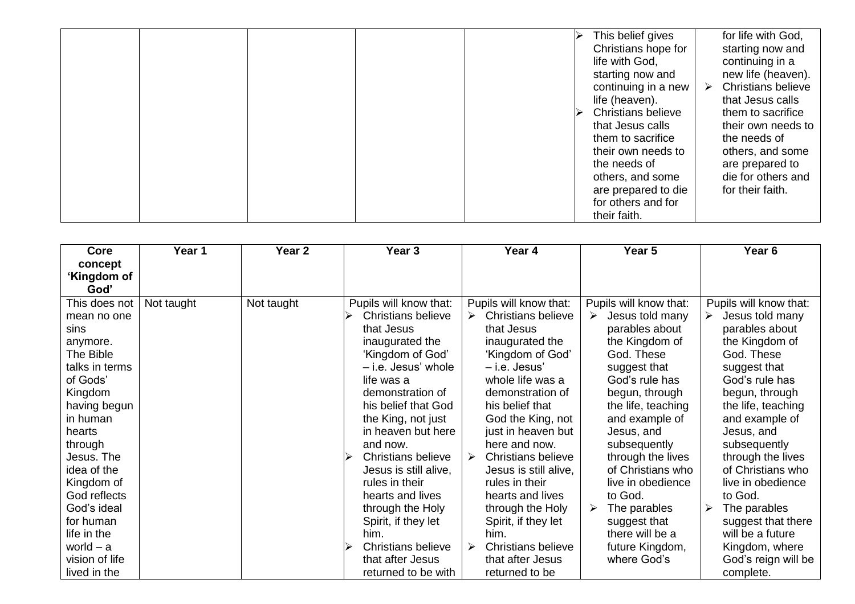|  |  |  | This belief gives         |   | for life with God,        |
|--|--|--|---------------------------|---|---------------------------|
|  |  |  | Christians hope for       |   | starting now and          |
|  |  |  | life with God,            |   | continuing in a           |
|  |  |  | starting now and          |   | new life (heaven).        |
|  |  |  | continuing in a new       | ➤ | <b>Christians believe</b> |
|  |  |  | life (heaven).            |   | that Jesus calls          |
|  |  |  | <b>Christians believe</b> |   | them to sacrifice         |
|  |  |  | that Jesus calls          |   | their own needs to        |
|  |  |  | them to sacrifice         |   | the needs of              |
|  |  |  | their own needs to        |   | others, and some          |
|  |  |  | the needs of              |   | are prepared to           |
|  |  |  | others, and some          |   | die for others and        |
|  |  |  | are prepared to die       |   | for their faith.          |
|  |  |  | for others and for        |   |                           |
|  |  |  | their faith.              |   |                           |

| Core           | Year 1     | Year 2     | Year <sub>3</sub>         | Year 4                         | Year 5                 | Year <sub>6</sub>      |
|----------------|------------|------------|---------------------------|--------------------------------|------------------------|------------------------|
| concept        |            |            |                           |                                |                        |                        |
| ʻKingdom of    |            |            |                           |                                |                        |                        |
| God'           |            |            |                           |                                |                        |                        |
| This does not  | Not taught | Not taught | Pupils will know that:    | Pupils will know that:         | Pupils will know that: | Pupils will know that: |
| mean no one    |            |            | Christians believe        | <b>Christians believe</b><br>➤ | Jesus told many<br>➤   | Jesus told many<br>≻   |
| sins           |            |            | that Jesus                | that Jesus                     | parables about         | parables about         |
| anymore.       |            |            | inaugurated the           | inaugurated the                | the Kingdom of         | the Kingdom of         |
| The Bible      |            |            | 'Kingdom of God'          | 'Kingdom of God'               | God. These             | God. These             |
| talks in terms |            |            | - i.e. Jesus' whole       | - i.e. Jesus'                  | suggest that           | suggest that           |
| of Gods'       |            |            | life was a                | whole life was a               | God's rule has         | God's rule has         |
| Kingdom        |            |            | demonstration of          | demonstration of               | begun, through         | begun, through         |
| having begun   |            |            | his belief that God       | his belief that                | the life, teaching     | the life, teaching     |
| in human       |            |            | the King, not just        | God the King, not              | and example of         | and example of         |
| hearts         |            |            | in heaven but here        | just in heaven but             | Jesus, and             | Jesus, and             |
| through        |            |            | and now.                  | here and now.                  | subsequently           | subsequently           |
| Jesus. The     |            |            | Christians believe        | <b>Christians believe</b><br>➤ | through the lives      | through the lives      |
| idea of the    |            |            | Jesus is still alive,     | Jesus is still alive,          | of Christians who      | of Christians who      |
| Kingdom of     |            |            | rules in their            | rules in their                 | live in obedience      | live in obedience      |
| God reflects   |            |            | hearts and lives          | hearts and lives               | to God.                | to God.                |
| God's ideal    |            |            | through the Holy          | through the Holy               | The parables<br>➤      | The parables           |
| for human      |            |            | Spirit, if they let       | Spirit, if they let            | suggest that           | suggest that there     |
| life in the    |            |            | him.                      | him.                           | there will be a        | will be a future       |
| world $-$ a    |            |            | <b>Christians believe</b> | <b>Christians believe</b><br>➤ | future Kingdom,        | Kingdom, where         |
| vision of life |            |            | that after Jesus          | that after Jesus               | where God's            | God's reign will be    |
| lived in the   |            |            | returned to be with       | returned to be                 |                        | complete.              |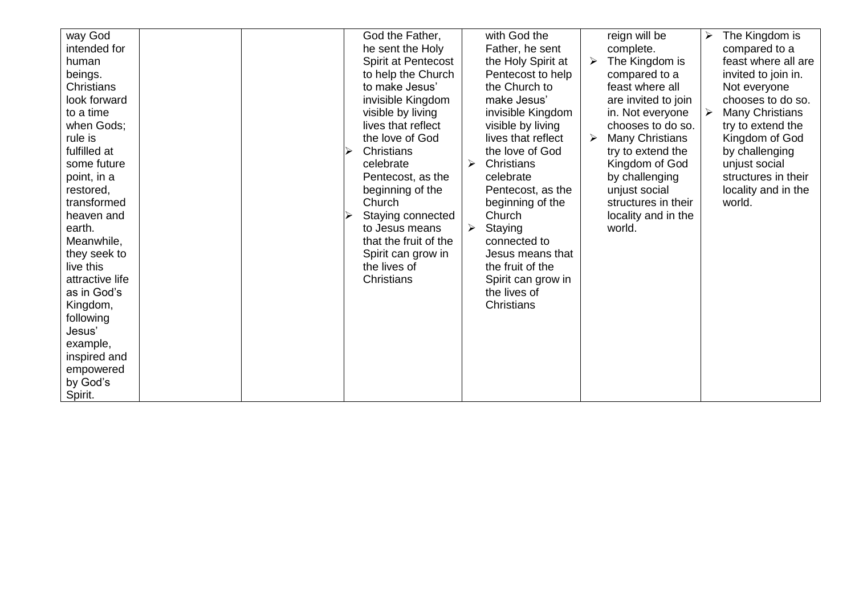| way God         |  | God the Father,            |   | with God the       |                       | reign will be          | ≻ | The Kingdom is         |
|-----------------|--|----------------------------|---|--------------------|-----------------------|------------------------|---|------------------------|
| intended for    |  | he sent the Holy           |   | Father, he sent    |                       | complete.              |   | compared to a          |
| human           |  | <b>Spirit at Pentecost</b> |   | the Holy Spirit at | $\blacktriangleright$ | The Kingdom is         |   | feast where all are    |
| beings.         |  | to help the Church         |   | Pentecost to help  |                       | compared to a          |   | invited to join in.    |
| Christians      |  | to make Jesus'             |   | the Church to      |                       | feast where all        |   | Not everyone           |
| look forward    |  | invisible Kingdom          |   | make Jesus'        |                       | are invited to join    |   | chooses to do so.      |
| to a time       |  | visible by living          |   | invisible Kingdom  |                       | in. Not everyone       |   | <b>Many Christians</b> |
| when Gods;      |  | lives that reflect         |   | visible by living  |                       | chooses to do so.      |   | try to extend the      |
| rule is         |  | the love of God            |   | lives that reflect | ➤                     | <b>Many Christians</b> |   | Kingdom of God         |
| fulfilled at    |  | Christians                 |   | the love of God    |                       | try to extend the      |   | by challenging         |
| some future     |  | celebrate                  | ➤ | Christians         |                       | Kingdom of God         |   | unjust social          |
| point, in a     |  | Pentecost, as the          |   | celebrate          |                       | by challenging         |   | structures in their    |
| restored,       |  | beginning of the           |   | Pentecost, as the  |                       | unjust social          |   | locality and in the    |
| transformed     |  | Church                     |   | beginning of the   |                       | structures in their    |   | world.                 |
| heaven and      |  | Staying connected          |   | Church             |                       | locality and in the    |   |                        |
| earth.          |  | to Jesus means             | ➤ | Staying            |                       | world.                 |   |                        |
| Meanwhile,      |  | that the fruit of the      |   | connected to       |                       |                        |   |                        |
| they seek to    |  | Spirit can grow in         |   | Jesus means that   |                       |                        |   |                        |
| live this       |  | the lives of               |   | the fruit of the   |                       |                        |   |                        |
| attractive life |  | Christians                 |   | Spirit can grow in |                       |                        |   |                        |
| as in God's     |  |                            |   | the lives of       |                       |                        |   |                        |
| Kingdom,        |  |                            |   | Christians         |                       |                        |   |                        |
| following       |  |                            |   |                    |                       |                        |   |                        |
| Jesus'          |  |                            |   |                    |                       |                        |   |                        |
| example,        |  |                            |   |                    |                       |                        |   |                        |
| inspired and    |  |                            |   |                    |                       |                        |   |                        |
| empowered       |  |                            |   |                    |                       |                        |   |                        |
| by God's        |  |                            |   |                    |                       |                        |   |                        |
| Spirit.         |  |                            |   |                    |                       |                        |   |                        |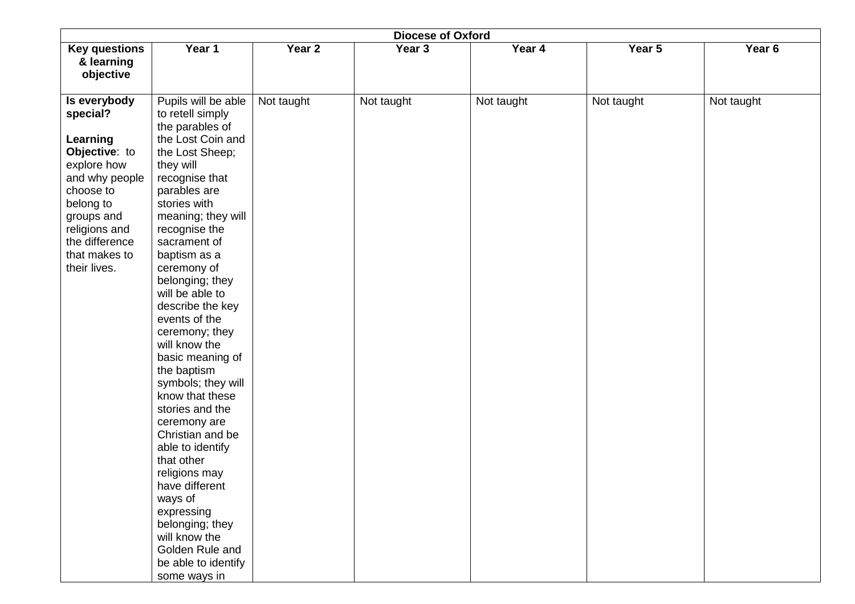| <b>Diocese of Oxford</b>           |                                     |            |            |            |            |                   |  |  |  |  |
|------------------------------------|-------------------------------------|------------|------------|------------|------------|-------------------|--|--|--|--|
| <b>Key questions</b><br>& learning | Year 1                              | Year 2     | Year 3     | Year 4     | Year 5     | Year <sub>6</sub> |  |  |  |  |
| objective                          |                                     |            |            |            |            |                   |  |  |  |  |
| Is everybody                       | Pupils will be able                 | Not taught | Not taught | Not taught | Not taught | Not taught        |  |  |  |  |
| special?                           | to retell simply<br>the parables of |            |            |            |            |                   |  |  |  |  |
| Learning                           | the Lost Coin and                   |            |            |            |            |                   |  |  |  |  |
| Objective: to                      | the Lost Sheep;                     |            |            |            |            |                   |  |  |  |  |
| explore how                        | they will                           |            |            |            |            |                   |  |  |  |  |
| and why people                     | recognise that                      |            |            |            |            |                   |  |  |  |  |
| choose to                          | parables are                        |            |            |            |            |                   |  |  |  |  |
| belong to<br>groups and            | stories with<br>meaning; they will  |            |            |            |            |                   |  |  |  |  |
| religions and                      | recognise the                       |            |            |            |            |                   |  |  |  |  |
| the difference                     | sacrament of                        |            |            |            |            |                   |  |  |  |  |
| that makes to                      | baptism as a                        |            |            |            |            |                   |  |  |  |  |
| their lives.                       | ceremony of                         |            |            |            |            |                   |  |  |  |  |
|                                    | belonging; they                     |            |            |            |            |                   |  |  |  |  |
|                                    | will be able to<br>describe the key |            |            |            |            |                   |  |  |  |  |
|                                    | events of the                       |            |            |            |            |                   |  |  |  |  |
|                                    | ceremony; they                      |            |            |            |            |                   |  |  |  |  |
|                                    | will know the                       |            |            |            |            |                   |  |  |  |  |
|                                    | basic meaning of                    |            |            |            |            |                   |  |  |  |  |
|                                    | the baptism                         |            |            |            |            |                   |  |  |  |  |
|                                    | symbols; they will                  |            |            |            |            |                   |  |  |  |  |
|                                    | know that these                     |            |            |            |            |                   |  |  |  |  |
|                                    | stories and the<br>ceremony are     |            |            |            |            |                   |  |  |  |  |
|                                    | Christian and be                    |            |            |            |            |                   |  |  |  |  |
|                                    | able to identify                    |            |            |            |            |                   |  |  |  |  |
|                                    | that other                          |            |            |            |            |                   |  |  |  |  |
|                                    | religions may                       |            |            |            |            |                   |  |  |  |  |
|                                    | have different                      |            |            |            |            |                   |  |  |  |  |
|                                    | ways of                             |            |            |            |            |                   |  |  |  |  |
|                                    | expressing                          |            |            |            |            |                   |  |  |  |  |
|                                    | belonging; they<br>will know the    |            |            |            |            |                   |  |  |  |  |
|                                    | Golden Rule and                     |            |            |            |            |                   |  |  |  |  |
|                                    | be able to identify                 |            |            |            |            |                   |  |  |  |  |
|                                    | some ways in                        |            |            |            |            |                   |  |  |  |  |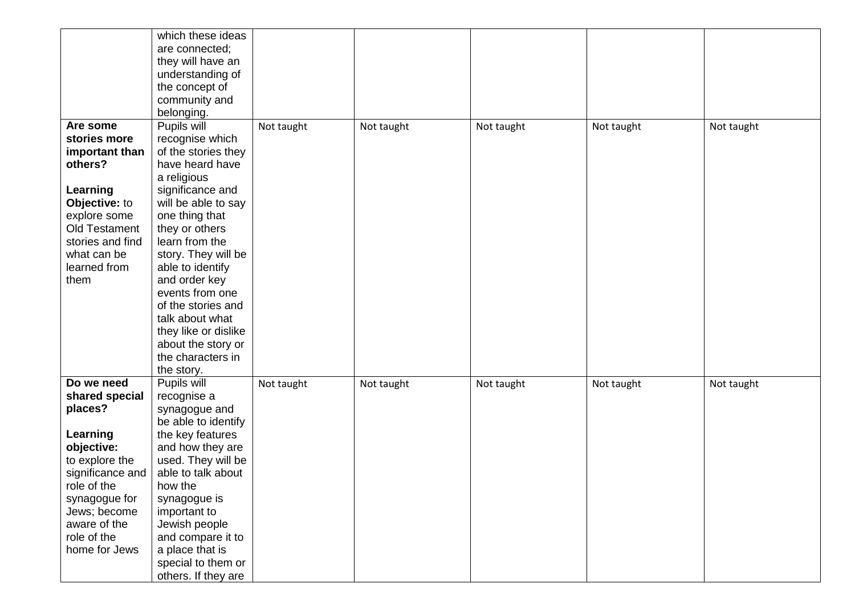|                  | which these ideas                     |            |            |            |            |            |
|------------------|---------------------------------------|------------|------------|------------|------------|------------|
|                  |                                       |            |            |            |            |            |
|                  | are connected;                        |            |            |            |            |            |
|                  | they will have an                     |            |            |            |            |            |
|                  | understanding of                      |            |            |            |            |            |
|                  | the concept of                        |            |            |            |            |            |
|                  | community and                         |            |            |            |            |            |
|                  | belonging.                            |            |            |            |            |            |
| Are some         | Pupils will                           | Not taught | Not taught | Not taught | Not taught | Not taught |
| stories more     | recognise which                       |            |            |            |            |            |
| important than   | of the stories they                   |            |            |            |            |            |
| others?          | have heard have                       |            |            |            |            |            |
|                  |                                       |            |            |            |            |            |
|                  | a religious                           |            |            |            |            |            |
| Learning         | significance and                      |            |            |            |            |            |
| Objective: to    | will be able to say                   |            |            |            |            |            |
| explore some     | one thing that                        |            |            |            |            |            |
| Old Testament    | they or others                        |            |            |            |            |            |
| stories and find | learn from the                        |            |            |            |            |            |
| what can be      | story. They will be                   |            |            |            |            |            |
| learned from     | able to identify                      |            |            |            |            |            |
| them             | and order key                         |            |            |            |            |            |
|                  | events from one                       |            |            |            |            |            |
|                  | of the stories and                    |            |            |            |            |            |
|                  | talk about what                       |            |            |            |            |            |
|                  | they like or dislike                  |            |            |            |            |            |
|                  | about the story or                    |            |            |            |            |            |
|                  | the characters in                     |            |            |            |            |            |
|                  | the story.                            |            |            |            |            |            |
| Do we need       | Pupils will                           |            |            |            |            |            |
|                  |                                       | Not taught | Not taught | Not taught | Not taught | Not taught |
| shared special   | recognise a                           |            |            |            |            |            |
| places?          | synagogue and                         |            |            |            |            |            |
|                  | be able to identify                   |            |            |            |            |            |
| Learning         | the key features                      |            |            |            |            |            |
| objective:       | and how they are                      |            |            |            |            |            |
| to explore the   | used. They will be                    |            |            |            |            |            |
| significance and | able to talk about                    |            |            |            |            |            |
| role of the      | how the                               |            |            |            |            |            |
| synagogue for    | synagogue is                          |            |            |            |            |            |
| Jews; become     | important to                          |            |            |            |            |            |
| aware of the     | Jewish people                         |            |            |            |            |            |
| role of the      |                                       |            |            |            |            |            |
|                  |                                       |            |            |            |            |            |
|                  | and compare it to                     |            |            |            |            |            |
| home for Jews    | a place that is<br>special to them or |            |            |            |            |            |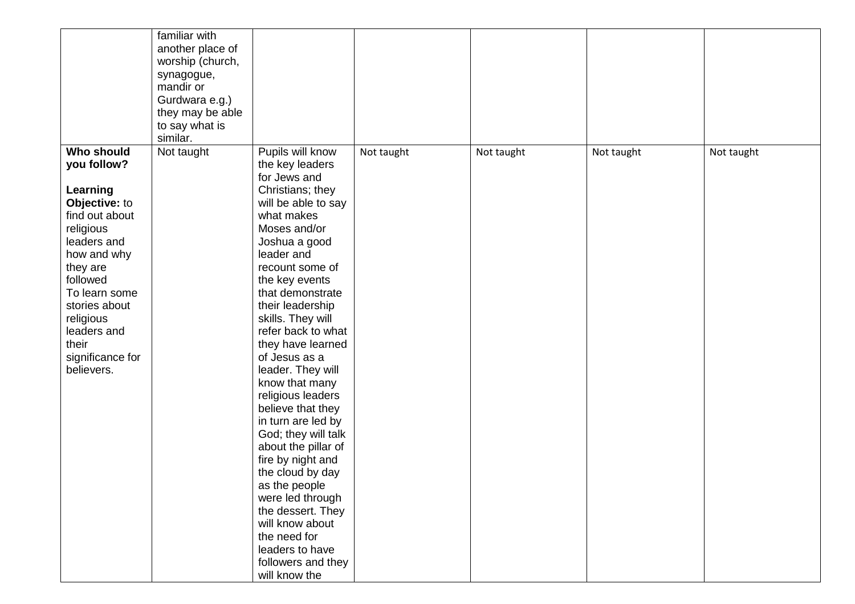|                                                                                                                                                                                                                                                             | familiar with<br>another place of<br>worship (church,<br>synagogue,<br>mandir or<br>Gurdwara e.g.)<br>they may be able<br>to say what is<br>similar. |                                                                                                                                                                                                                                                                                                                                                                                                                                                                                                                                                                                                                                                                                |            |            |            |            |
|-------------------------------------------------------------------------------------------------------------------------------------------------------------------------------------------------------------------------------------------------------------|------------------------------------------------------------------------------------------------------------------------------------------------------|--------------------------------------------------------------------------------------------------------------------------------------------------------------------------------------------------------------------------------------------------------------------------------------------------------------------------------------------------------------------------------------------------------------------------------------------------------------------------------------------------------------------------------------------------------------------------------------------------------------------------------------------------------------------------------|------------|------------|------------|------------|
| <b>Who should</b><br>you follow?<br>Learning<br>Objective: to<br>find out about<br>religious<br>leaders and<br>how and why<br>they are<br>followed<br>To learn some<br>stories about<br>religious<br>leaders and<br>their<br>significance for<br>believers. | Not taught                                                                                                                                           | Pupils will know<br>the key leaders<br>for Jews and<br>Christians; they<br>will be able to say<br>what makes<br>Moses and/or<br>Joshua a good<br>leader and<br>recount some of<br>the key events<br>that demonstrate<br>their leadership<br>skills. They will<br>refer back to what<br>they have learned<br>of Jesus as a<br>leader. They will<br>know that many<br>religious leaders<br>believe that they<br>in turn are led by<br>God; they will talk<br>about the pillar of<br>fire by night and<br>the cloud by day<br>as the people<br>were led through<br>the dessert. They<br>will know about<br>the need for<br>leaders to have<br>followers and they<br>will know the | Not taught | Not taught | Not taught | Not taught |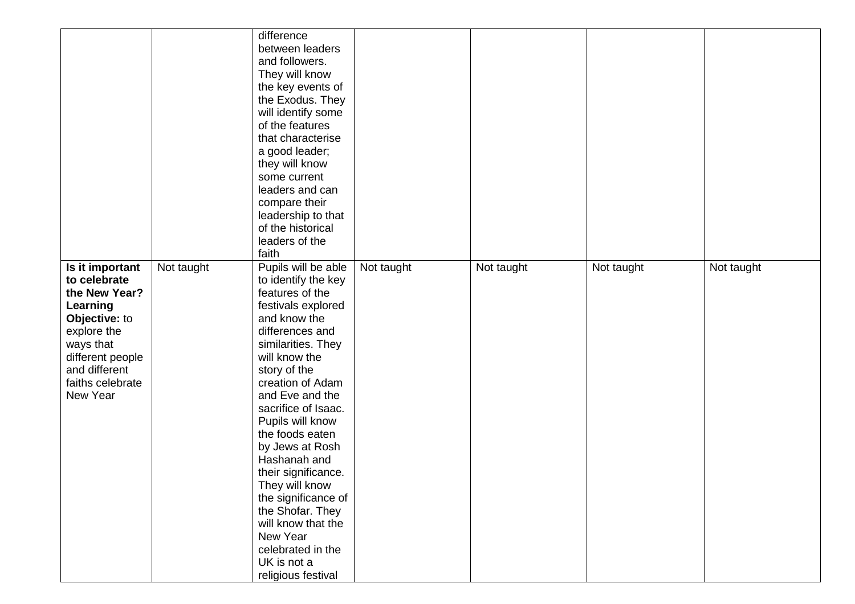|                  |            | difference          |            |            |            |            |
|------------------|------------|---------------------|------------|------------|------------|------------|
|                  |            | between leaders     |            |            |            |            |
|                  |            | and followers.      |            |            |            |            |
|                  |            | They will know      |            |            |            |            |
|                  |            | the key events of   |            |            |            |            |
|                  |            | the Exodus. They    |            |            |            |            |
|                  |            | will identify some  |            |            |            |            |
|                  |            | of the features     |            |            |            |            |
|                  |            | that characterise   |            |            |            |            |
|                  |            | a good leader;      |            |            |            |            |
|                  |            | they will know      |            |            |            |            |
|                  |            | some current        |            |            |            |            |
|                  |            | leaders and can     |            |            |            |            |
|                  |            | compare their       |            |            |            |            |
|                  |            | leadership to that  |            |            |            |            |
|                  |            | of the historical   |            |            |            |            |
|                  |            | leaders of the      |            |            |            |            |
|                  |            | faith               |            |            |            |            |
| Is it important  | Not taught | Pupils will be able | Not taught | Not taught | Not taught | Not taught |
| to celebrate     |            | to identify the key |            |            |            |            |
| the New Year?    |            | features of the     |            |            |            |            |
| Learning         |            | festivals explored  |            |            |            |            |
| Objective: to    |            | and know the        |            |            |            |            |
|                  |            | differences and     |            |            |            |            |
| explore the      |            |                     |            |            |            |            |
| ways that        |            | similarities. They  |            |            |            |            |
| different people |            | will know the       |            |            |            |            |
| and different    |            | story of the        |            |            |            |            |
| faiths celebrate |            | creation of Adam    |            |            |            |            |
| New Year         |            | and Eve and the     |            |            |            |            |
|                  |            | sacrifice of Isaac. |            |            |            |            |
|                  |            | Pupils will know    |            |            |            |            |
|                  |            | the foods eaten     |            |            |            |            |
|                  |            | by Jews at Rosh     |            |            |            |            |
|                  |            | Hashanah and        |            |            |            |            |
|                  |            | their significance. |            |            |            |            |
|                  |            | They will know      |            |            |            |            |
|                  |            | the significance of |            |            |            |            |
|                  |            | the Shofar. They    |            |            |            |            |
|                  |            | will know that the  |            |            |            |            |
|                  |            | New Year            |            |            |            |            |
|                  |            | celebrated in the   |            |            |            |            |
|                  |            | UK is not a         |            |            |            |            |
|                  |            | religious festival  |            |            |            |            |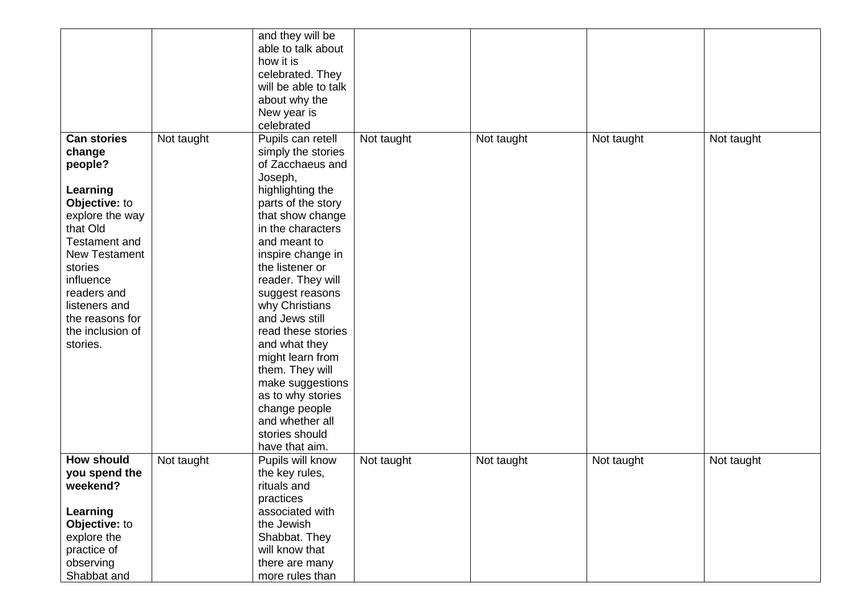|                      |            | and they will be     |            |            |            |            |
|----------------------|------------|----------------------|------------|------------|------------|------------|
|                      |            | able to talk about   |            |            |            |            |
|                      |            | how it is            |            |            |            |            |
|                      |            | celebrated. They     |            |            |            |            |
|                      |            | will be able to talk |            |            |            |            |
|                      |            | about why the        |            |            |            |            |
|                      |            | New year is          |            |            |            |            |
|                      |            | celebrated           |            |            |            |            |
| <b>Can stories</b>   | Not taught | Pupils can retell    | Not taught | Not taught | Not taught | Not taught |
| change               |            | simply the stories   |            |            |            |            |
| people?              |            | of Zacchaeus and     |            |            |            |            |
|                      |            | Joseph,              |            |            |            |            |
| Learning             |            | highlighting the     |            |            |            |            |
|                      |            |                      |            |            |            |            |
| Objective: to        |            | parts of the story   |            |            |            |            |
| explore the way      |            | that show change     |            |            |            |            |
| that Old             |            | in the characters    |            |            |            |            |
| <b>Testament and</b> |            | and meant to         |            |            |            |            |
| <b>New Testament</b> |            | inspire change in    |            |            |            |            |
| stories              |            | the listener or      |            |            |            |            |
| influence            |            | reader. They will    |            |            |            |            |
| readers and          |            | suggest reasons      |            |            |            |            |
| listeners and        |            | why Christians       |            |            |            |            |
| the reasons for      |            | and Jews still       |            |            |            |            |
| the inclusion of     |            | read these stories   |            |            |            |            |
| stories.             |            | and what they        |            |            |            |            |
|                      |            | might learn from     |            |            |            |            |
|                      |            | them. They will      |            |            |            |            |
|                      |            | make suggestions     |            |            |            |            |
|                      |            | as to why stories    |            |            |            |            |
|                      |            | change people        |            |            |            |            |
|                      |            | and whether all      |            |            |            |            |
|                      |            | stories should       |            |            |            |            |
|                      |            | have that aim.       |            |            |            |            |
| <b>How should</b>    | Not taught | Pupils will know     | Not taught | Not taught | Not taught | Not taught |
| you spend the        |            | the key rules,       |            |            |            |            |
| weekend?             |            | rituals and          |            |            |            |            |
|                      |            | practices            |            |            |            |            |
| Learning             |            | associated with      |            |            |            |            |
| Objective: to        |            | the Jewish           |            |            |            |            |
| explore the          |            | Shabbat. They        |            |            |            |            |
| practice of          |            | will know that       |            |            |            |            |
| observing            |            | there are many       |            |            |            |            |
| Shabbat and          |            | more rules than      |            |            |            |            |
|                      |            |                      |            |            |            |            |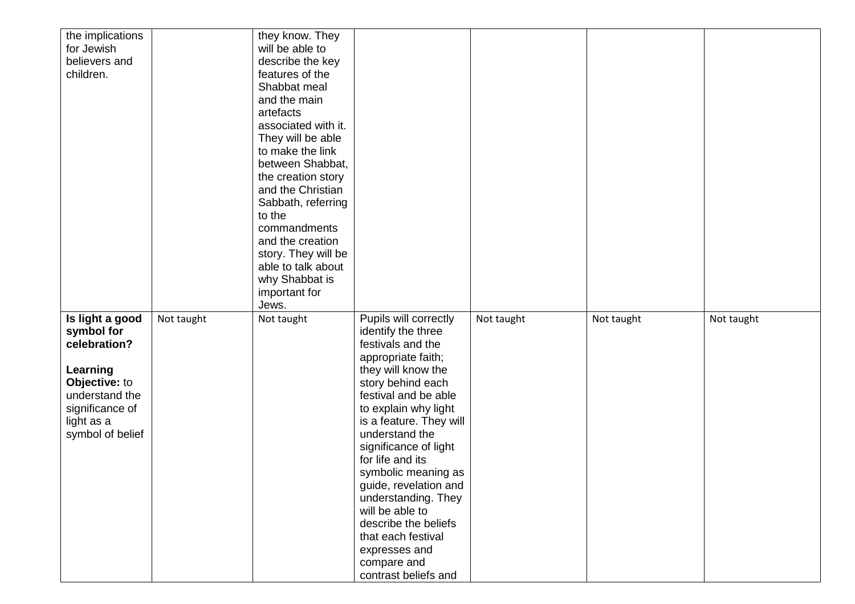| the implications<br>for Jewish<br>believers and<br>children.                                                                                      |            | they know. They<br>will be able to<br>describe the key<br>features of the<br>Shabbat meal<br>and the main<br>artefacts<br>associated with it.<br>They will be able<br>to make the link<br>between Shabbat,<br>the creation story<br>and the Christian<br>Sabbath, referring<br>to the<br>commandments<br>and the creation<br>story. They will be<br>able to talk about<br>why Shabbat is<br>important for<br>Jews. |                                                                                                                                                                                                                                                                                                                                                                                                                                                                             |            |            |            |
|---------------------------------------------------------------------------------------------------------------------------------------------------|------------|--------------------------------------------------------------------------------------------------------------------------------------------------------------------------------------------------------------------------------------------------------------------------------------------------------------------------------------------------------------------------------------------------------------------|-----------------------------------------------------------------------------------------------------------------------------------------------------------------------------------------------------------------------------------------------------------------------------------------------------------------------------------------------------------------------------------------------------------------------------------------------------------------------------|------------|------------|------------|
| Is light a good<br>symbol for<br>celebration?<br>Learning<br>Objective: to<br>understand the<br>significance of<br>light as a<br>symbol of belief | Not taught | Not taught                                                                                                                                                                                                                                                                                                                                                                                                         | Pupils will correctly<br>identify the three<br>festivals and the<br>appropriate faith;<br>they will know the<br>story behind each<br>festival and be able<br>to explain why light<br>is a feature. They will<br>understand the<br>significance of light<br>for life and its<br>symbolic meaning as<br>guide, revelation and<br>understanding. They<br>will be able to<br>describe the beliefs<br>that each festival<br>expresses and<br>compare and<br>contrast beliefs and | Not taught | Not taught | Not taught |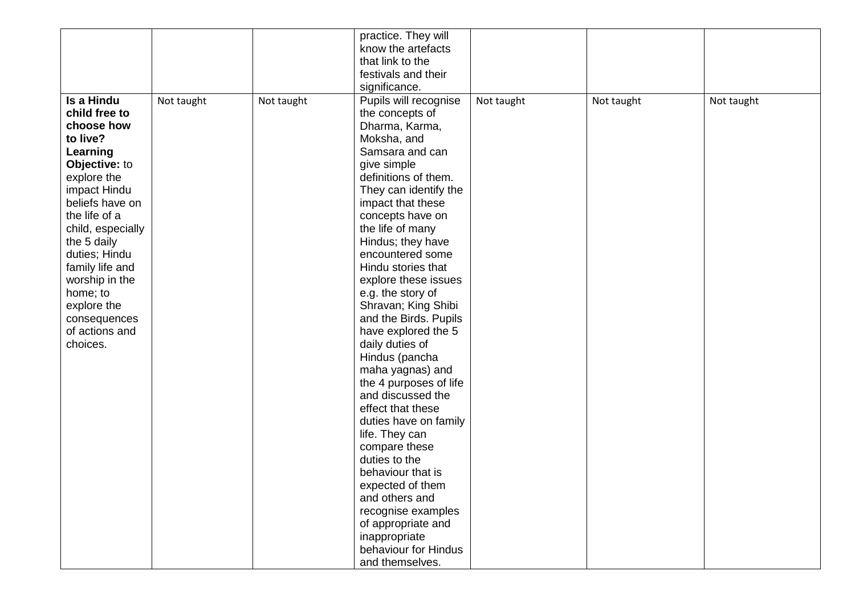|                   |            |            | practice. They will    |            |            |            |
|-------------------|------------|------------|------------------------|------------|------------|------------|
|                   |            |            | know the artefacts     |            |            |            |
|                   |            |            | that link to the       |            |            |            |
|                   |            |            | festivals and their    |            |            |            |
|                   |            |            | significance.          |            |            |            |
| Is a Hindu        | Not taught | Not taught | Pupils will recognise  | Not taught | Not taught | Not taught |
| child free to     |            |            | the concepts of        |            |            |            |
| choose how        |            |            | Dharma, Karma,         |            |            |            |
| to live?          |            |            | Moksha, and            |            |            |            |
| Learning          |            |            | Samsara and can        |            |            |            |
| Objective: to     |            |            | give simple            |            |            |            |
| explore the       |            |            | definitions of them.   |            |            |            |
| impact Hindu      |            |            | They can identify the  |            |            |            |
| beliefs have on   |            |            | impact that these      |            |            |            |
| the life of a     |            |            | concepts have on       |            |            |            |
| child, especially |            |            | the life of many       |            |            |            |
| the 5 daily       |            |            | Hindus; they have      |            |            |            |
| duties; Hindu     |            |            | encountered some       |            |            |            |
| family life and   |            |            | Hindu stories that     |            |            |            |
| worship in the    |            |            | explore these issues   |            |            |            |
| home; to          |            |            | e.g. the story of      |            |            |            |
| explore the       |            |            | Shravan; King Shibi    |            |            |            |
| consequences      |            |            | and the Birds. Pupils  |            |            |            |
| of actions and    |            |            | have explored the 5    |            |            |            |
| choices.          |            |            | daily duties of        |            |            |            |
|                   |            |            | Hindus (pancha         |            |            |            |
|                   |            |            | maha yagnas) and       |            |            |            |
|                   |            |            | the 4 purposes of life |            |            |            |
|                   |            |            | and discussed the      |            |            |            |
|                   |            |            | effect that these      |            |            |            |
|                   |            |            | duties have on family  |            |            |            |
|                   |            |            | life. They can         |            |            |            |
|                   |            |            | compare these          |            |            |            |
|                   |            |            | duties to the          |            |            |            |
|                   |            |            | behaviour that is      |            |            |            |
|                   |            |            | expected of them       |            |            |            |
|                   |            |            | and others and         |            |            |            |
|                   |            |            | recognise examples     |            |            |            |
|                   |            |            | of appropriate and     |            |            |            |
|                   |            |            | inappropriate          |            |            |            |
|                   |            |            | behaviour for Hindus   |            |            |            |
|                   |            |            | and themselves.        |            |            |            |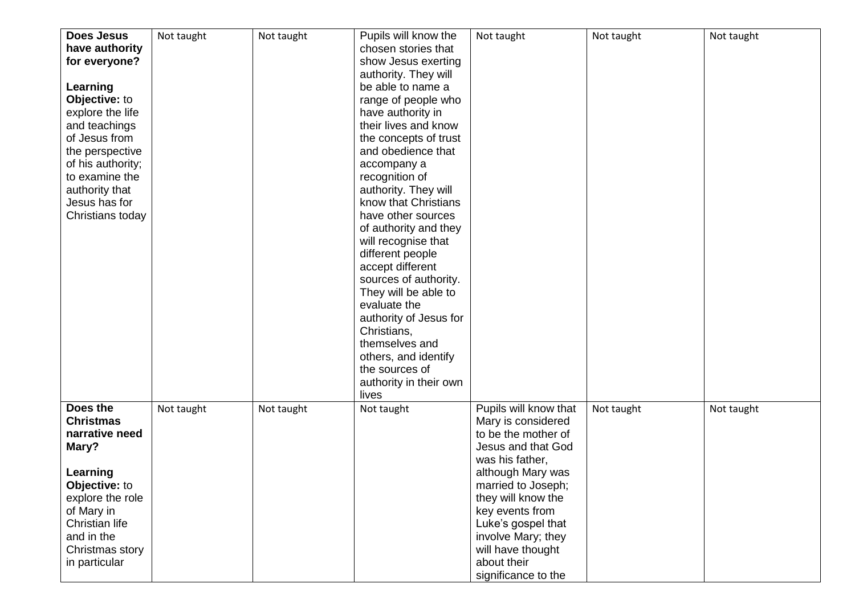| <b>Does Jesus</b><br>have authority<br>for everyone?<br>Learning<br>Objective: to<br>explore the life<br>and teachings<br>of Jesus from<br>the perspective<br>of his authority;<br>to examine the<br>authority that<br>Jesus has for<br>Christians today | Not taught | Not taught | Pupils will know the<br>chosen stories that<br>show Jesus exerting<br>authority. They will<br>be able to name a<br>range of people who<br>have authority in<br>their lives and know<br>the concepts of trust<br>and obedience that<br>accompany a<br>recognition of<br>authority. They will<br>know that Christians<br>have other sources<br>of authority and they<br>will recognise that<br>different people<br>accept different<br>sources of authority.<br>They will be able to<br>evaluate the<br>authority of Jesus for<br>Christians,<br>themselves and<br>others, and identify<br>the sources of | Not taught                                                                                                                                                                                                                                                                                             | Not taught | Not taught |
|----------------------------------------------------------------------------------------------------------------------------------------------------------------------------------------------------------------------------------------------------------|------------|------------|---------------------------------------------------------------------------------------------------------------------------------------------------------------------------------------------------------------------------------------------------------------------------------------------------------------------------------------------------------------------------------------------------------------------------------------------------------------------------------------------------------------------------------------------------------------------------------------------------------|--------------------------------------------------------------------------------------------------------------------------------------------------------------------------------------------------------------------------------------------------------------------------------------------------------|------------|------------|
|                                                                                                                                                                                                                                                          |            |            | authority in their own<br>lives                                                                                                                                                                                                                                                                                                                                                                                                                                                                                                                                                                         |                                                                                                                                                                                                                                                                                                        |            |            |
| Does the<br><b>Christmas</b><br>narrative need<br>Mary?<br>Learning<br>Objective: to<br>explore the role<br>of Mary in<br>Christian life<br>and in the<br>Christmas story<br>in particular                                                               | Not taught | Not taught | Not taught                                                                                                                                                                                                                                                                                                                                                                                                                                                                                                                                                                                              | Pupils will know that<br>Mary is considered<br>to be the mother of<br>Jesus and that God<br>was his father,<br>although Mary was<br>married to Joseph;<br>they will know the<br>key events from<br>Luke's gospel that<br>involve Mary; they<br>will have thought<br>about their<br>significance to the | Not taught | Not taught |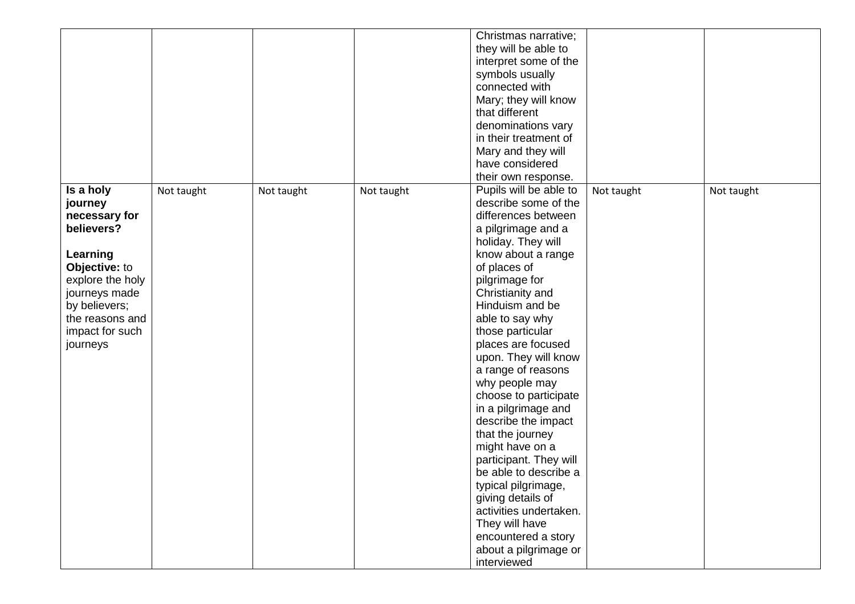|                             |            |            |            | Christmas narrative;   |            |            |
|-----------------------------|------------|------------|------------|------------------------|------------|------------|
|                             |            |            |            | they will be able to   |            |            |
|                             |            |            |            | interpret some of the  |            |            |
|                             |            |            |            | symbols usually        |            |            |
|                             |            |            |            | connected with         |            |            |
|                             |            |            |            | Mary; they will know   |            |            |
|                             |            |            |            | that different         |            |            |
|                             |            |            |            | denominations vary     |            |            |
|                             |            |            |            | in their treatment of  |            |            |
|                             |            |            |            | Mary and they will     |            |            |
|                             |            |            |            | have considered        |            |            |
|                             |            |            |            | their own response.    |            |            |
| Is a holy                   |            |            |            | Pupils will be able to |            |            |
| journey                     | Not taught | Not taught | Not taught | describe some of the   | Not taught | Not taught |
|                             |            |            |            | differences between    |            |            |
| necessary for<br>believers? |            |            |            |                        |            |            |
|                             |            |            |            | a pilgrimage and a     |            |            |
|                             |            |            |            | holiday. They will     |            |            |
| Learning                    |            |            |            | know about a range     |            |            |
| Objective: to               |            |            |            | of places of           |            |            |
| explore the holy            |            |            |            | pilgrimage for         |            |            |
| journeys made               |            |            |            | Christianity and       |            |            |
| by believers;               |            |            |            | Hinduism and be        |            |            |
| the reasons and             |            |            |            | able to say why        |            |            |
| impact for such             |            |            |            | those particular       |            |            |
| journeys                    |            |            |            | places are focused     |            |            |
|                             |            |            |            | upon. They will know   |            |            |
|                             |            |            |            | a range of reasons     |            |            |
|                             |            |            |            | why people may         |            |            |
|                             |            |            |            | choose to participate  |            |            |
|                             |            |            |            | in a pilgrimage and    |            |            |
|                             |            |            |            | describe the impact    |            |            |
|                             |            |            |            | that the journey       |            |            |
|                             |            |            |            | might have on a        |            |            |
|                             |            |            |            | participant. They will |            |            |
|                             |            |            |            | be able to describe a  |            |            |
|                             |            |            |            | typical pilgrimage,    |            |            |
|                             |            |            |            | giving details of      |            |            |
|                             |            |            |            | activities undertaken. |            |            |
|                             |            |            |            | They will have         |            |            |
|                             |            |            |            | encountered a story    |            |            |
|                             |            |            |            | about a pilgrimage or  |            |            |
|                             |            |            |            | interviewed            |            |            |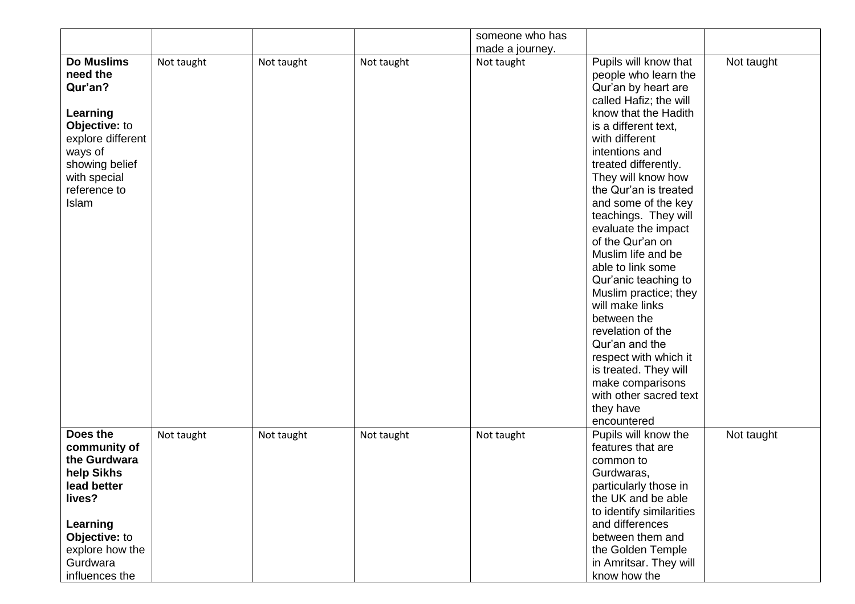|                                                                                                                                                                  |            |            |            | someone who has               |                                                                                                                                                                                                                                                                                                                                                                                                                                                                                                                                                                                                                                                      |            |
|------------------------------------------------------------------------------------------------------------------------------------------------------------------|------------|------------|------------|-------------------------------|------------------------------------------------------------------------------------------------------------------------------------------------------------------------------------------------------------------------------------------------------------------------------------------------------------------------------------------------------------------------------------------------------------------------------------------------------------------------------------------------------------------------------------------------------------------------------------------------------------------------------------------------------|------------|
| <b>Do Muslims</b><br>need the<br>Qur'an?<br>Learning<br>Objective: to<br>explore different<br>ways of<br>showing belief<br>with special<br>reference to<br>Islam | Not taught | Not taught | Not taught | made a journey.<br>Not taught | Pupils will know that<br>people who learn the<br>Qur'an by heart are<br>called Hafiz; the will<br>know that the Hadith<br>is a different text,<br>with different<br>intentions and<br>treated differently.<br>They will know how<br>the Qur'an is treated<br>and some of the key<br>teachings. They will<br>evaluate the impact<br>of the Qur'an on<br>Muslim life and be<br>able to link some<br>Qur'anic teaching to<br>Muslim practice; they<br>will make links<br>between the<br>revelation of the<br>Qur'an and the<br>respect with which it<br>is treated. They will<br>make comparisons<br>with other sacred text<br>they have<br>encountered | Not taught |
| Does the<br>community of<br>the Gurdwara<br>help Sikhs<br>lead better<br>lives?<br>Learning<br>Objective: to<br>explore how the<br>Gurdwara<br>influences the    | Not taught | Not taught | Not taught | Not taught                    | Pupils will know the<br>features that are<br>common to<br>Gurdwaras,<br>particularly those in<br>the UK and be able<br>to identify similarities<br>and differences<br>between them and<br>the Golden Temple<br>in Amritsar. They will<br>know how the                                                                                                                                                                                                                                                                                                                                                                                                | Not taught |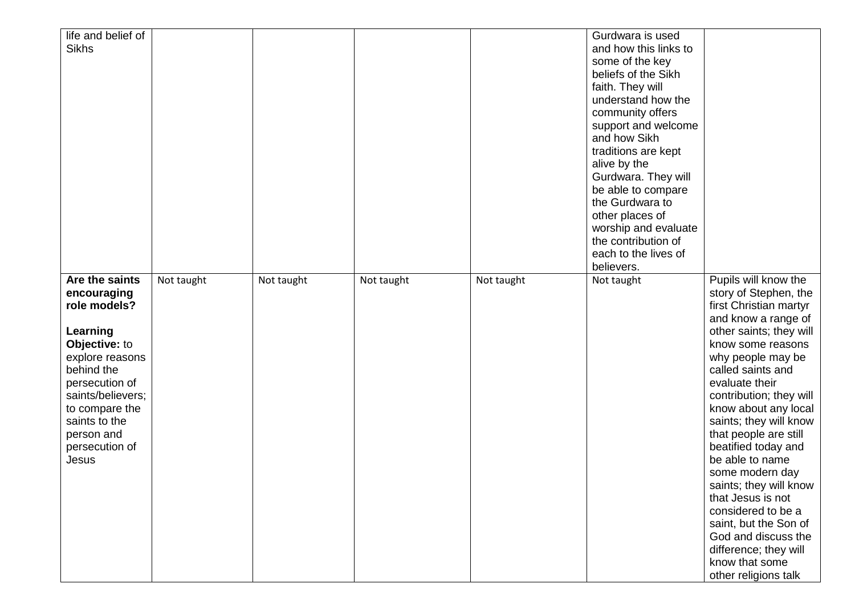| life and belief of<br><b>Sikhs</b>                                                                                                                                                                                             |            |            |            |            | Gurdwara is used<br>and how this links to<br>some of the key<br>beliefs of the Sikh<br>faith. They will<br>understand how the                                                                             |                                                                                                                                                                                                                                                                                                                                                                                                                                                                                                                                                                       |
|--------------------------------------------------------------------------------------------------------------------------------------------------------------------------------------------------------------------------------|------------|------------|------------|------------|-----------------------------------------------------------------------------------------------------------------------------------------------------------------------------------------------------------|-----------------------------------------------------------------------------------------------------------------------------------------------------------------------------------------------------------------------------------------------------------------------------------------------------------------------------------------------------------------------------------------------------------------------------------------------------------------------------------------------------------------------------------------------------------------------|
|                                                                                                                                                                                                                                |            |            |            |            | community offers<br>support and welcome<br>and how Sikh<br>traditions are kept<br>alive by the<br>Gurdwara. They will<br>be able to compare<br>the Gurdwara to<br>other places of<br>worship and evaluate |                                                                                                                                                                                                                                                                                                                                                                                                                                                                                                                                                                       |
|                                                                                                                                                                                                                                |            |            |            |            | the contribution of<br>each to the lives of                                                                                                                                                               |                                                                                                                                                                                                                                                                                                                                                                                                                                                                                                                                                                       |
| Are the saints<br>encouraging<br>role models?<br>Learning<br>Objective: to<br>explore reasons<br>behind the<br>persecution of<br>saints/believers;<br>to compare the<br>saints to the<br>person and<br>persecution of<br>Jesus | Not taught | Not taught | Not taught | Not taught | believers.<br>Not taught                                                                                                                                                                                  | Pupils will know the<br>story of Stephen, the<br>first Christian martyr<br>and know a range of<br>other saints; they will<br>know some reasons<br>why people may be<br>called saints and<br>evaluate their<br>contribution; they will<br>know about any local<br>saints; they will know<br>that people are still<br>beatified today and<br>be able to name<br>some modern day<br>saints; they will know<br>that Jesus is not<br>considered to be a<br>saint, but the Son of<br>God and discuss the<br>difference; they will<br>know that some<br>other religions talk |